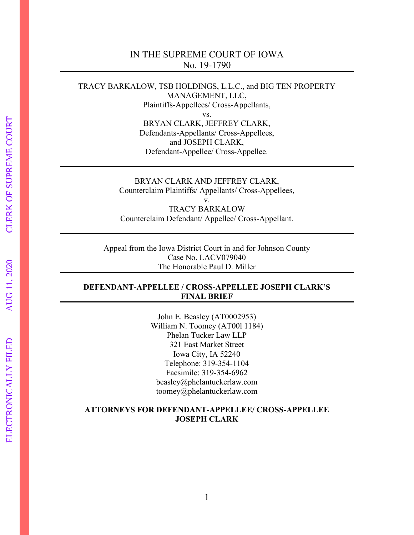### IN THE SUPREME COURT OF IOWA No. 19-1790

TRACY BARKALOW, TSB HOLDINGS, L.L.C., and BIG TEN PROPERTY MANAGEMENT, LLC, Plaintiffs-Appellees/ Cross-Appellants, vs. BRYAN CLARK, JEFFREY CLARK, Defendants-Appellants/ Cross-Appellees, and JOSEPH CLARK, Defendant-Appellee/ Cross-Appellee.

> BRYAN CLARK AND JEFFREY CLARK, Counterclaim Plaintiffs/ Appellants/ Cross-Appellees, v. TRACY BARKALOW Counterclaim Defendant/ Appellee/ Cross-Appellant.

Appeal from the Iowa District Court in and for Johnson County Case No. LACV079040 The Honorable Paul D. Miller

#### **DEFENDANT-APPELLEE / CROSS-APPELLEE JOSEPH CLARK'S FINAL BRIEF**

John E. Beasley (AT0002953) William N. Toomey (AT00l 1184) Phelan Tucker Law LLP 321 East Market Street Iowa City, IA 52240 Telephone: 319-354-1104 Facsimile: 319-354-6962 beasley@phelantuckerlaw.com toomey@phelantuckerlaw.com

#### **ATTORNEYS FOR DEFENDANT-APPELLEE/ CROSS-APPELLEE JOSEPH CLARK**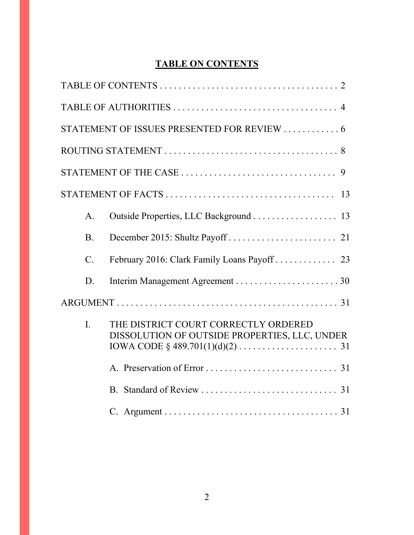# **TABLE ON CONTENTS**

|                 | STATEMENT OF ISSUES PRESENTED FOR REVIEW  6                                           |  |  |  |  |
|-----------------|---------------------------------------------------------------------------------------|--|--|--|--|
|                 |                                                                                       |  |  |  |  |
|                 |                                                                                       |  |  |  |  |
|                 |                                                                                       |  |  |  |  |
| A <sub>1</sub>  |                                                                                       |  |  |  |  |
| <b>B.</b>       |                                                                                       |  |  |  |  |
| $\mathcal{C}$ . |                                                                                       |  |  |  |  |
| D.              |                                                                                       |  |  |  |  |
|                 |                                                                                       |  |  |  |  |
| I.              | THE DISTRICT COURT CORRECTLY ORDERED<br>DISSOLUTION OF OUTSIDE PROPERTIES, LLC, UNDER |  |  |  |  |
|                 |                                                                                       |  |  |  |  |
|                 |                                                                                       |  |  |  |  |
|                 |                                                                                       |  |  |  |  |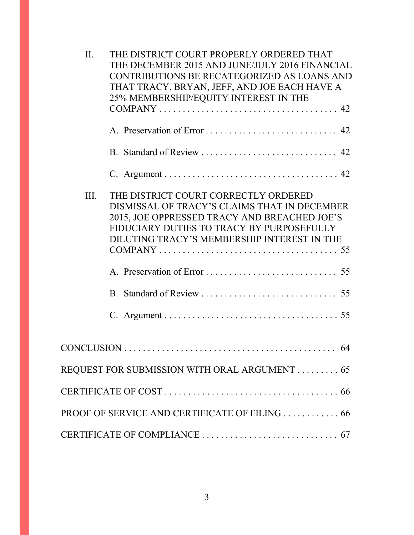| II.<br>III. | THE DISTRICT COURT PROPERLY ORDERED THAT<br>THE DECEMBER 2015 AND JUNE/JULY 2016 FINANCIAL<br>CONTRIBUTIONS BE RECATEGORIZED AS LOANS AND<br>THAT TRACY, BRYAN, JEFF, AND JOE EACH HAVE A<br>25% MEMBERSHIP/EQUITY INTEREST IN THE<br>B. Standard of Review  42<br>THE DISTRICT COURT CORRECTLY ORDERED<br>DISMISSAL OF TRACY'S CLAIMS THAT IN DECEMBER<br>2015, JOE OPPRESSED TRACY AND BREACHED JOE'S<br>FIDUCIARY DUTIES TO TRACY BY PURPOSEFULLY<br>DILUTING TRACY'S MEMBERSHIP INTEREST IN THE |
|-------------|-----------------------------------------------------------------------------------------------------------------------------------------------------------------------------------------------------------------------------------------------------------------------------------------------------------------------------------------------------------------------------------------------------------------------------------------------------------------------------------------------------|
|             |                                                                                                                                                                                                                                                                                                                                                                                                                                                                                                     |
|             |                                                                                                                                                                                                                                                                                                                                                                                                                                                                                                     |
|             |                                                                                                                                                                                                                                                                                                                                                                                                                                                                                                     |
|             |                                                                                                                                                                                                                                                                                                                                                                                                                                                                                                     |
|             | REQUEST FOR SUBMISSION WITH ORAL ARGUMENT 65                                                                                                                                                                                                                                                                                                                                                                                                                                                        |
|             |                                                                                                                                                                                                                                                                                                                                                                                                                                                                                                     |
|             |                                                                                                                                                                                                                                                                                                                                                                                                                                                                                                     |
|             |                                                                                                                                                                                                                                                                                                                                                                                                                                                                                                     |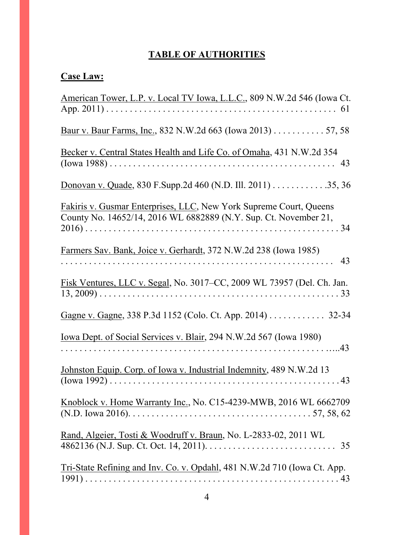# **TABLE OF AUTHORITIES**

# **Case Law:**

| American Tower, L.P. v. Local TV Iowa, L.L.C., 809 N.W.2d 546 (Iowa Ct.                                                                |
|----------------------------------------------------------------------------------------------------------------------------------------|
| Baur v. Baur Farms, Inc., 832 N.W.2d 663 (Iowa 2013) 57, 58                                                                            |
| Becker v. Central States Health and Life Co. of Omaha, 431 N.W.2d 354                                                                  |
| Donovan v. Quade, 830 F. Supp. 2d 460 (N.D. Ill. 2011) 35, 36                                                                          |
| Fakiris v. Gusmar Enterprises, LLC, New York Supreme Court, Queens<br>County No. 14652/14, 2016 WL 6882889 (N.Y. Sup. Ct. November 21, |
| Farmers Sav. Bank, Joice v. Gerhardt, 372 N.W.2d 238 (Iowa 1985)                                                                       |
| Fisk Ventures, LLC v. Segal, No. 3017–CC, 2009 WL 73957 (Del. Ch. Jan.                                                                 |
| Gagne v. Gagne, 338 P.3d 1152 (Colo. Ct. App. 2014) 32-34                                                                              |
| <u>Iowa Dept. of Social Services v. Blair</u> , 294 N.W.2d 567 (Iowa 1980)                                                             |
| Johnston Equip. Corp. of Iowa v. Industrial Indemnity, 489 N.W.2d 13                                                                   |
| Knoblock v. Home Warranty Inc., No. C15-4239-MWB, 2016 WL 6662709                                                                      |
| Rand, Algeier, Tosti & Woodruff v. Braun, No. L-2833-02, 2011 WL                                                                       |
| Tri-State Refining and Inv. Co. v. Opdahl, 481 N.W.2d 710 (Iowa Ct. App.                                                               |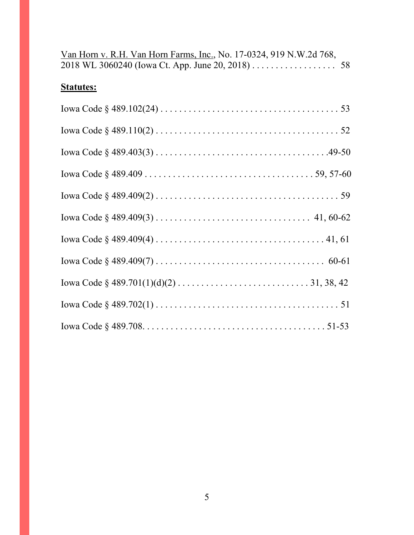| Van Horn v. R.H. Van Horn Farms, Inc., No. 17-0324, 919 N.W.2d 768, |  |
|---------------------------------------------------------------------|--|
| 2018 WL 3060240 (Iowa Ct. App. June 20, 2018) 58                    |  |

# **Statutes:**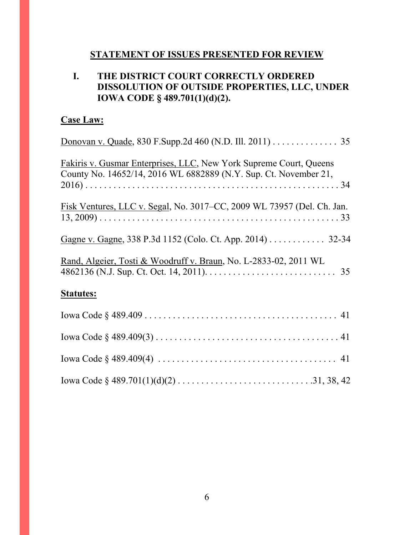### **STATEMENT OF ISSUES PRESENTED FOR REVIEW**

# **I. THE DISTRICT COURT CORRECTLY ORDERED DISSOLUTION OF OUTSIDE PROPERTIES, LLC, UNDER IOWA CODE § 489.701(1)(d)(2).**

# **Case Law:**

| Donovan v. Quade, 830 F. Supp. 2d 460 (N.D. Ill. 2011) 35                                                                              |
|----------------------------------------------------------------------------------------------------------------------------------------|
| Fakiris v. Gusmar Enterprises, LLC, New York Supreme Court, Queens<br>County No. 14652/14, 2016 WL 6882889 (N.Y. Sup. Ct. November 21, |
| Fisk Ventures, LLC v. Segal, No. 3017–CC, 2009 WL 73957 (Del. Ch. Jan.                                                                 |
| Gagne v. Gagne, 338 P.3d 1152 (Colo. Ct. App. 2014) 32-34                                                                              |
| Rand, Algeier, Tosti & Woodruff v. Braun, No. L-2833-02, 2011 WL                                                                       |
| <b>Statutes:</b>                                                                                                                       |
|                                                                                                                                        |
|                                                                                                                                        |
|                                                                                                                                        |
|                                                                                                                                        |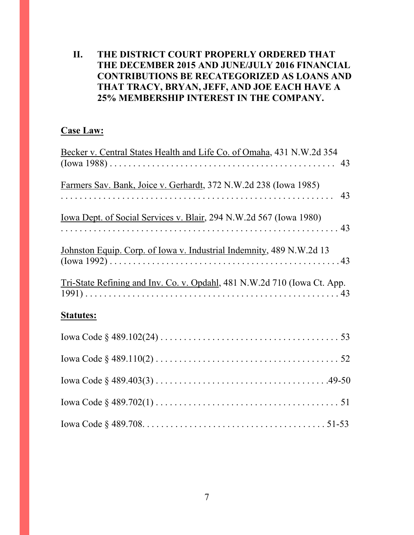# **II. THE DISTRICT COURT PROPERLY ORDERED THAT THE DECEMBER 2015 AND JUNE/JULY 2016 FINANCIAL CONTRIBUTIONS BE RECATEGORIZED AS LOANS AND THAT TRACY, BRYAN, JEFF, AND JOE EACH HAVE A 25% MEMBERSHIP INTEREST IN THE COMPANY.**

# **Case Law:**

| Becker v. Central States Health and Life Co. of Omaha, 431 N.W.2d 354      |
|----------------------------------------------------------------------------|
|                                                                            |
| Farmers Sav. Bank, Joice v. Gerhardt, 372 N.W.2d 238 (Iowa 1985)           |
| <u>Iowa Dept. of Social Services v. Blair</u> , 294 N.W.2d 567 (Iowa 1980) |
| Johnston Equip. Corp. of Iowa v. Industrial Indemnity, 489 N.W.2d 13       |
| Tri-State Refining and Inv. Co. v. Opdahl, 481 N.W.2d 710 (Iowa Ct. App.   |
| <b>Statutes:</b>                                                           |
|                                                                            |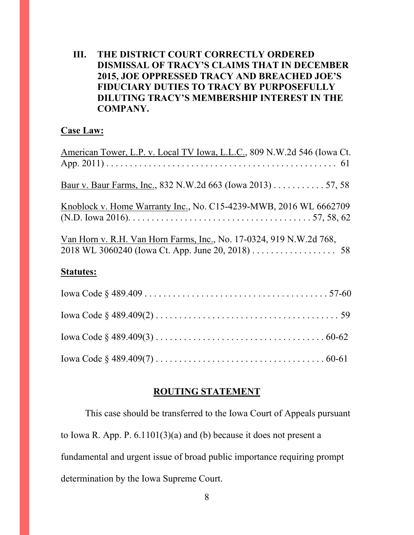## **III. THE DISTRICT COURT CORRECTLY ORDERED DISMISSAL OF TRACY'S CLAIMS THAT IN DECEMBER 2015, JOE OPPRESSED TRACY AND BREACHED JOE'S FIDUCIARY DUTIES TO TRACY BY PURPOSEFULLY DILUTING TRACY'S MEMBERSHIP INTEREST IN THE COMPANY.**

### **Case Law:**

| American Tower, L.P. v. Local TV Iowa, L.L.C., 809 N.W.2d 546 (Iowa Ct.                                                                                      |
|--------------------------------------------------------------------------------------------------------------------------------------------------------------|
|                                                                                                                                                              |
| Baur v. Baur Farms, Inc., 832 N.W.2d 663 (Iowa 2013) 57, 58                                                                                                  |
| Knoblock v. Home Warranty Inc., No. C15-4239-MWB, 2016 WL 6662709                                                                                            |
|                                                                                                                                                              |
| Van Horn v. R.H. Van Horn Farms, Inc., No. 17-0324, 919 N.W.2d 768,<br>2018 WL 3060240 (Iowa Ct. App. June 20, 2018) $\ldots \ldots \ldots \ldots \ldots$ 58 |
| <b>Statutes:</b>                                                                                                                                             |
|                                                                                                                                                              |
|                                                                                                                                                              |

### **ROUTING STATEMENT**

This case should be transferred to the Iowa Court of Appeals pursuant to Iowa R. App. P. 6.1101(3)(a) and (b) because it does not present a fundamental and urgent issue of broad public importance requiring prompt determination by the Iowa Supreme Court.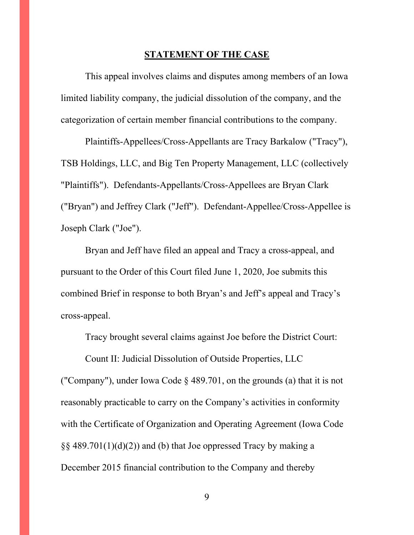#### **STATEMENT OF THE CASE**

This appeal involves claims and disputes among members of an Iowa limited liability company, the judicial dissolution of the company, and the categorization of certain member financial contributions to the company.

Plaintiffs-Appellees/Cross-Appellants are Tracy Barkalow ("Tracy"), TSB Holdings, LLC, and Big Ten Property Management, LLC (collectively "Plaintiffs"). Defendants-Appellants/Cross-Appellees are Bryan Clark ("Bryan") and Jeffrey Clark ("Jeff"). Defendant-Appellee/Cross-Appellee is Joseph Clark ("Joe").

Bryan and Jeff have filed an appeal and Tracy a cross-appeal, and pursuant to the Order of this Court filed June 1, 2020, Joe submits this combined Brief in response to both Bryan's and Jeff's appeal and Tracy's cross-appeal.

Tracy brought several claims against Joe before the District Court:

Count II: Judicial Dissolution of Outside Properties, LLC ("Company"), under Iowa Code § 489.701, on the grounds (a) that it is not reasonably practicable to carry on the Company's activities in conformity with the Certificate of Organization and Operating Agreement (Iowa Code  $\S$ § 489.701(1)(d)(2)) and (b) that Joe oppressed Tracy by making a December 2015 financial contribution to the Company and thereby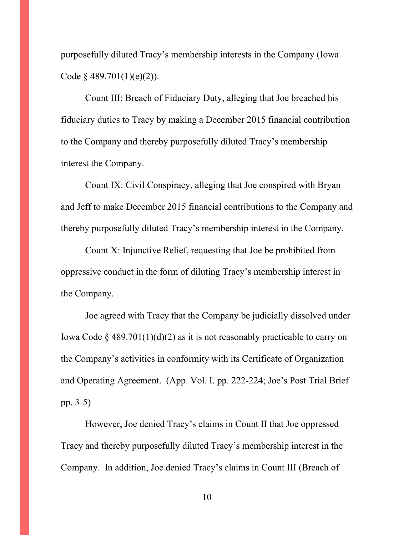purposefully diluted Tracy's membership interests in the Company (Iowa Code  $§$  489.701(1)(e)(2)).

Count III: Breach of Fiduciary Duty, alleging that Joe breached his fiduciary duties to Tracy by making a December 2015 financial contribution to the Company and thereby purposefully diluted Tracy's membership interest the Company.

Count IX: Civil Conspiracy, alleging that Joe conspired with Bryan and Jeff to make December 2015 financial contributions to the Company and thereby purposefully diluted Tracy's membership interest in the Company.

Count X: Injunctive Relief, requesting that Joe be prohibited from oppressive conduct in the form of diluting Tracy's membership interest in the Company.

Joe agreed with Tracy that the Company be judicially dissolved under Iowa Code § 489.701(1)(d)(2) as it is not reasonably practicable to carry on the Company's activities in conformity with its Certificate of Organization and Operating Agreement. (App. Vol. I. pp. 222-224; Joe's Post Trial Brief pp. 3-5)

However, Joe denied Tracy's claims in Count II that Joe oppressed Tracy and thereby purposefully diluted Tracy's membership interest in the Company. In addition, Joe denied Tracy's claims in Count III (Breach of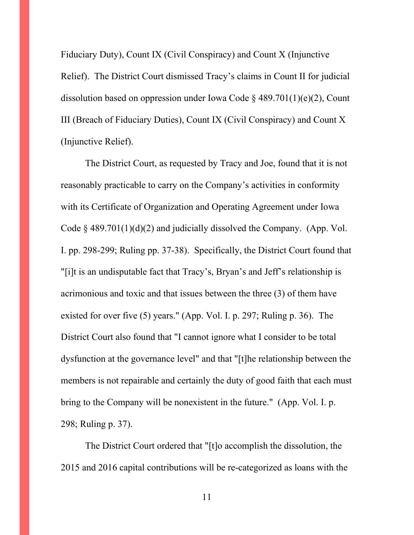Fiduciary Duty), Count IX (Civil Conspiracy) and Count X (Injunctive Relief). The District Court dismissed Tracy's claims in Count II for judicial dissolution based on oppression under Iowa Code  $\frac{1}{2}$  489.701(1)(e)(2), Count III (Breach of Fiduciary Duties), Count IX (Civil Conspiracy) and Count X (Injunctive Relief).

The District Court, as requested by Tracy and Joe, found that it is not reasonably practicable to carry on the Company's activities in conformity with its Certificate of Organization and Operating Agreement under Iowa Code  $\S$  489.701(1)(d)(2) and judicially dissolved the Company. (App. Vol. I. pp. 298-299; Ruling pp. 37-38). Specifically, the District Court found that "[i]t is an undisputable fact that Tracy's, Bryan's and Jeff's relationship is acrimonious and toxic and that issues between the three (3) of them have existed for over five (5) years." (App. Vol. I. p. 297; Ruling p. 36). The District Court also found that "I cannot ignore what I consider to be total dysfunction at the governance level" and that "[t]he relationship between the members is not repairable and certainly the duty of good faith that each must bring to the Company will be nonexistent in the future." (App. Vol. I. p. 298; Ruling p. 37).

The District Court ordered that "[t]o accomplish the dissolution, the 2015 and 2016 capital contributions will be re-categorized as loans with the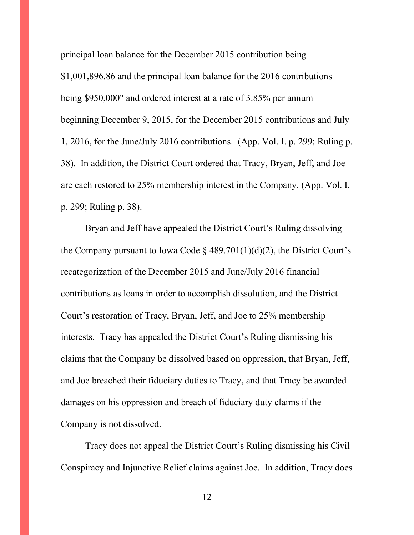principal loan balance for the December 2015 contribution being \$1,001,896.86 and the principal loan balance for the 2016 contributions being \$950,000" and ordered interest at a rate of 3.85% per annum beginning December 9, 2015, for the December 2015 contributions and July 1, 2016, for the June/July 2016 contributions. (App. Vol. I. p. 299; Ruling p. 38). In addition, the District Court ordered that Tracy, Bryan, Jeff, and Joe are each restored to 25% membership interest in the Company. (App. Vol. I. p. 299; Ruling p. 38).

Bryan and Jeff have appealed the District Court's Ruling dissolving the Company pursuant to Iowa Code  $\S$  489.701(1)(d)(2), the District Court's recategorization of the December 2015 and June/July 2016 financial contributions as loans in order to accomplish dissolution, and the District Court's restoration of Tracy, Bryan, Jeff, and Joe to 25% membership interests. Tracy has appealed the District Court's Ruling dismissing his claims that the Company be dissolved based on oppression, that Bryan, Jeff, and Joe breached their fiduciary duties to Tracy, and that Tracy be awarded damages on his oppression and breach of fiduciary duty claims if the Company is not dissolved.

Tracy does not appeal the District Court's Ruling dismissing his Civil Conspiracy and Injunctive Relief claims against Joe. In addition, Tracy does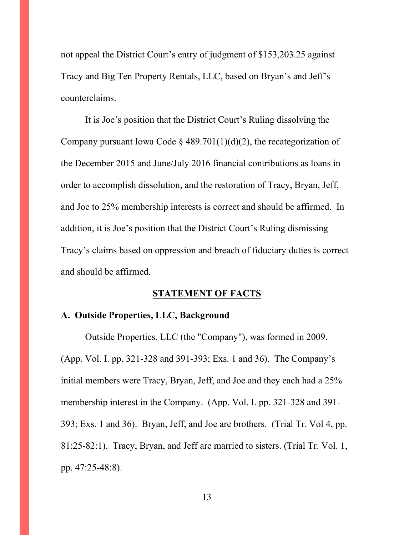not appeal the District Court's entry of judgment of \$153,203.25 against Tracy and Big Ten Property Rentals, LLC, based on Bryan's and Jeff's counterclaims.

It is Joe's position that the District Court's Ruling dissolving the Company pursuant Iowa Code § 489.701(1)(d)(2), the recategorization of the December 2015 and June/July 2016 financial contributions as loans in order to accomplish dissolution, and the restoration of Tracy, Bryan, Jeff, and Joe to 25% membership interests is correct and should be affirmed. In addition, it is Joe's position that the District Court's Ruling dismissing Tracy's claims based on oppression and breach of fiduciary duties is correct and should be affirmed.

### **STATEMENT OF FACTS**

#### **A. Outside Properties, LLC, Background**

Outside Properties, LLC (the "Company"), was formed in 2009. (App. Vol. I. pp. 321-328 and 391-393; Exs. 1 and 36). The Company's initial members were Tracy, Bryan, Jeff, and Joe and they each had a 25% membership interest in the Company. (App. Vol. I. pp. 321-328 and 391- 393; Exs. 1 and 36). Bryan, Jeff, and Joe are brothers. (Trial Tr. Vol 4, pp. 81:25-82:1). Tracy, Bryan, and Jeff are married to sisters. (Trial Tr. Vol. 1, pp. 47:25-48:8).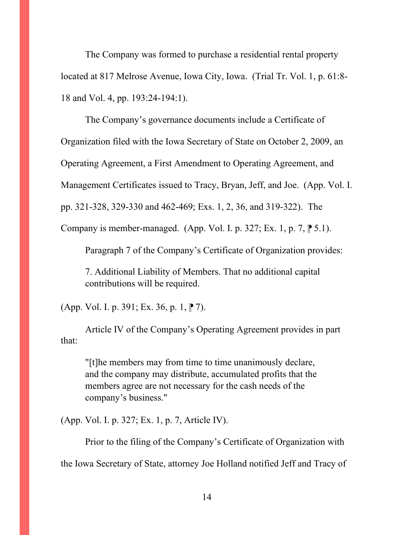The Company was formed to purchase a residential rental property located at 817 Melrose Avenue, Iowa City, Iowa. (Trial Tr. Vol. 1, p. 61:8- 18 and Vol. 4, pp. 193:24-194:1).

The Company's governance documents include a Certificate of Organization filed with the Iowa Secretary of State on October 2, 2009, an Operating Agreement, a First Amendment to Operating Agreement, and Management Certificates issued to Tracy, Bryan, Jeff, and Joe. (App. Vol. I. pp. 321-328, 329-330 and 462-469; Exs. 1, 2, 36, and 319-322). The Company is member-managed. (App. Vol. I. p. 327; Ex. 1, p. 7,  $\uparrow$  5.1).

Paragraph 7 of the Company's Certificate of Organization provides:

7. Additional Liability of Members. That no additional capital contributions will be required.

 $(App. Vol. I. p. 391; Ex. 36, p. 1, P. 7).$ 

Article IV of the Company's Operating Agreement provides in part that:

"[t]he members may from time to time unanimously declare, and the company may distribute, accumulated profits that the members agree are not necessary for the cash needs of the company's business."

(App. Vol. I. p. 327; Ex. 1, p. 7, Article IV).

Prior to the filing of the Company's Certificate of Organization with the Iowa Secretary of State, attorney Joe Holland notified Jeff and Tracy of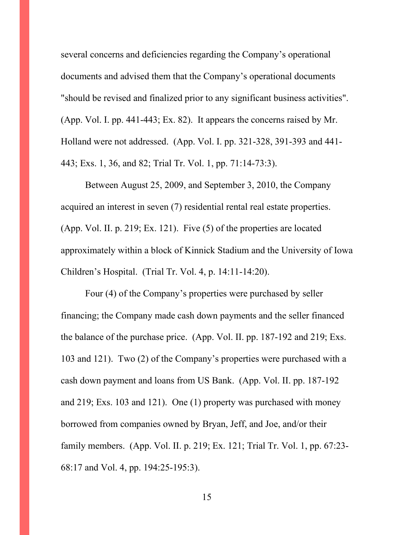several concerns and deficiencies regarding the Company's operational documents and advised them that the Company's operational documents "should be revised and finalized prior to any significant business activities". (App. Vol. I. pp. 441-443; Ex. 82). It appears the concerns raised by Mr. Holland were not addressed. (App. Vol. I. pp. 321-328, 391-393 and 441- 443; Exs. 1, 36, and 82; Trial Tr. Vol. 1, pp. 71:14-73:3).

Between August 25, 2009, and September 3, 2010, the Company acquired an interest in seven (7) residential rental real estate properties. (App. Vol. II. p. 219; Ex. 121). Five (5) of the properties are located approximately within a block of Kinnick Stadium and the University of Iowa Children's Hospital. (Trial Tr. Vol. 4, p. 14:11-14:20).

Four (4) of the Company's properties were purchased by seller financing; the Company made cash down payments and the seller financed the balance of the purchase price. (App. Vol. II. pp. 187-192 and 219; Exs. 103 and 121). Two (2) of the Company's properties were purchased with a cash down payment and loans from US Bank. (App. Vol. II. pp. 187-192 and 219; Exs. 103 and 121). One (1) property was purchased with money borrowed from companies owned by Bryan, Jeff, and Joe, and/or their family members. (App. Vol. II. p. 219; Ex. 121; Trial Tr. Vol. 1, pp. 67:23- 68:17 and Vol. 4, pp. 194:25-195:3).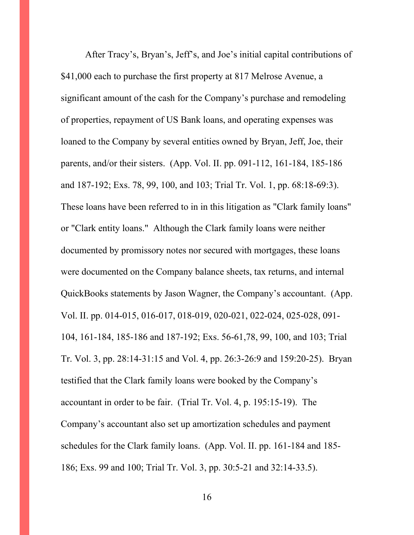After Tracy's, Bryan's, Jeff's, and Joe's initial capital contributions of \$41,000 each to purchase the first property at 817 Melrose Avenue, a significant amount of the cash for the Company's purchase and remodeling of properties, repayment of US Bank loans, and operating expenses was loaned to the Company by several entities owned by Bryan, Jeff, Joe, their parents, and/or their sisters. (App. Vol. II. pp. 091-112, 161-184, 185-186 and 187-192; Exs. 78, 99, 100, and 103; Trial Tr. Vol. 1, pp. 68:18-69:3). These loans have been referred to in in this litigation as "Clark family loans" or "Clark entity loans." Although the Clark family loans were neither documented by promissory notes nor secured with mortgages, these loans were documented on the Company balance sheets, tax returns, and internal QuickBooks statements by Jason Wagner, the Company's accountant. (App. Vol. II. pp. 014-015, 016-017, 018-019, 020-021, 022-024, 025-028, 091- 104, 161-184, 185-186 and 187-192; Exs. 56-61,78, 99, 100, and 103; Trial Tr. Vol. 3, pp. 28:14-31:15 and Vol. 4, pp. 26:3-26:9 and 159:20-25). Bryan testified that the Clark family loans were booked by the Company's accountant in order to be fair. (Trial Tr. Vol. 4, p. 195:15-19). The Company's accountant also set up amortization schedules and payment schedules for the Clark family loans. (App. Vol. II. pp. 161-184 and 185- 186; Exs. 99 and 100; Trial Tr. Vol. 3, pp. 30:5-21 and 32:14-33.5).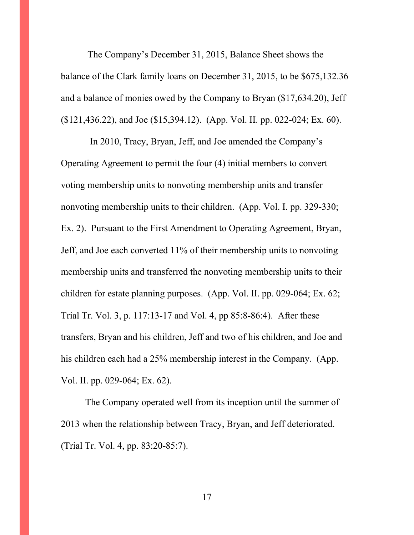The Company's December 31, 2015, Balance Sheet shows the balance of the Clark family loans on December 31, 2015, to be \$675,132.36 and a balance of monies owed by the Company to Bryan (\$17,634.20), Jeff (\$121,436.22), and Joe (\$15,394.12). (App. Vol. II. pp. 022-024; Ex. 60).

 In 2010, Tracy, Bryan, Jeff, and Joe amended the Company's Operating Agreement to permit the four (4) initial members to convert voting membership units to nonvoting membership units and transfer nonvoting membership units to their children. (App. Vol. I. pp. 329-330; Ex. 2). Pursuant to the First Amendment to Operating Agreement, Bryan, Jeff, and Joe each converted 11% of their membership units to nonvoting membership units and transferred the nonvoting membership units to their children for estate planning purposes. (App. Vol. II. pp. 029-064; Ex. 62; Trial Tr. Vol. 3, p. 117:13-17 and Vol. 4, pp 85:8-86:4). After these transfers, Bryan and his children, Jeff and two of his children, and Joe and his children each had a 25% membership interest in the Company. (App. Vol. II. pp. 029-064; Ex. 62).

The Company operated well from its inception until the summer of 2013 when the relationship between Tracy, Bryan, and Jeff deteriorated. (Trial Tr. Vol. 4, pp. 83:20-85:7).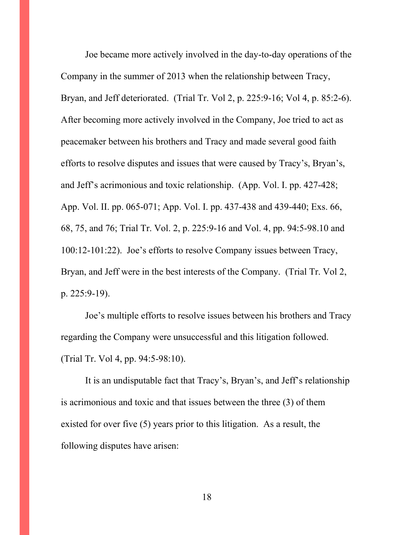Joe became more actively involved in the day-to-day operations of the Company in the summer of 2013 when the relationship between Tracy, Bryan, and Jeff deteriorated. (Trial Tr. Vol 2, p. 225:9-16; Vol 4, p. 85:2-6). After becoming more actively involved in the Company, Joe tried to act as peacemaker between his brothers and Tracy and made several good faith efforts to resolve disputes and issues that were caused by Tracy's, Bryan's, and Jeff's acrimonious and toxic relationship. (App. Vol. I. pp. 427-428; App. Vol. II. pp. 065-071; App. Vol. I. pp. 437-438 and 439-440; Exs. 66, 68, 75, and 76; Trial Tr. Vol. 2, p. 225:9-16 and Vol. 4, pp. 94:5-98.10 and 100:12-101:22). Joe's efforts to resolve Company issues between Tracy, Bryan, and Jeff were in the best interests of the Company. (Trial Tr. Vol 2, p. 225:9-19).

Joe's multiple efforts to resolve issues between his brothers and Tracy regarding the Company were unsuccessful and this litigation followed. (Trial Tr. Vol 4, pp. 94:5-98:10).

It is an undisputable fact that Tracy's, Bryan's, and Jeff's relationship is acrimonious and toxic and that issues between the three (3) of them existed for over five (5) years prior to this litigation. As a result, the following disputes have arisen: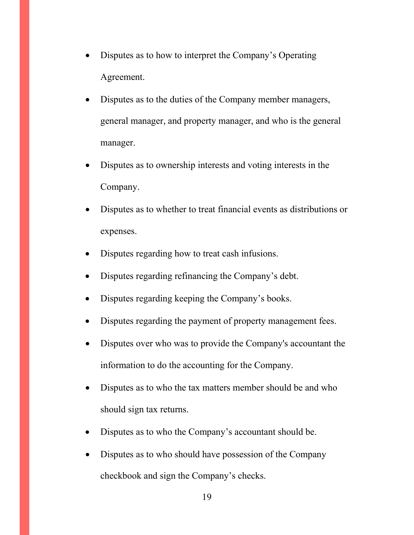- Disputes as to how to interpret the Company's Operating Agreement.
- Disputes as to the duties of the Company member managers, general manager, and property manager, and who is the general manager.
- Disputes as to ownership interests and voting interests in the Company.
- Disputes as to whether to treat financial events as distributions or expenses.
- Disputes regarding how to treat cash infusions.
- Disputes regarding refinancing the Company's debt.
- Disputes regarding keeping the Company's books.
- Disputes regarding the payment of property management fees.
- Disputes over who was to provide the Company's accountant the information to do the accounting for the Company.
- Disputes as to who the tax matters member should be and who should sign tax returns.
- Disputes as to who the Company's accountant should be.
- Disputes as to who should have possession of the Company checkbook and sign the Company's checks.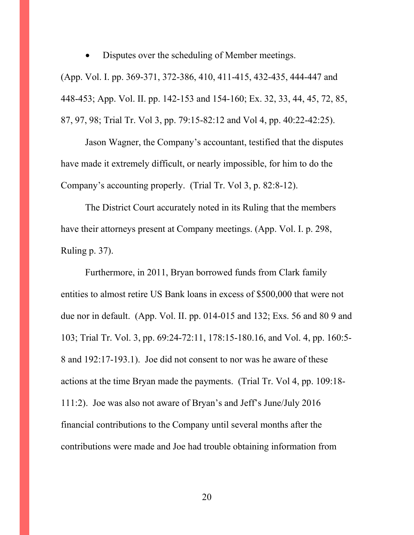Disputes over the scheduling of Member meetings. (App. Vol. I. pp. 369-371, 372-386, 410, 411-415, 432-435, 444-447 and 448-453; App. Vol. II. pp. 142-153 and 154-160; Ex. 32, 33, 44, 45, 72, 85,

87, 97, 98; Trial Tr. Vol 3, pp. 79:15-82:12 and Vol 4, pp. 40:22-42:25).

Jason Wagner, the Company's accountant, testified that the disputes have made it extremely difficult, or nearly impossible, for him to do the Company's accounting properly. (Trial Tr. Vol 3, p. 82:8-12).

The District Court accurately noted in its Ruling that the members have their attorneys present at Company meetings. (App. Vol. I. p. 298, Ruling p. 37).

Furthermore, in 2011, Bryan borrowed funds from Clark family entities to almost retire US Bank loans in excess of \$500,000 that were not due nor in default. (App. Vol. II. pp. 014-015 and 132; Exs. 56 and 80 9 and 103; Trial Tr. Vol. 3, pp. 69:24-72:11, 178:15-180.16, and Vol. 4, pp. 160:5- 8 and 192:17-193.1). Joe did not consent to nor was he aware of these actions at the time Bryan made the payments. (Trial Tr. Vol 4, pp. 109:18- 111:2). Joe was also not aware of Bryan's and Jeff's June/July 2016 financial contributions to the Company until several months after the contributions were made and Joe had trouble obtaining information from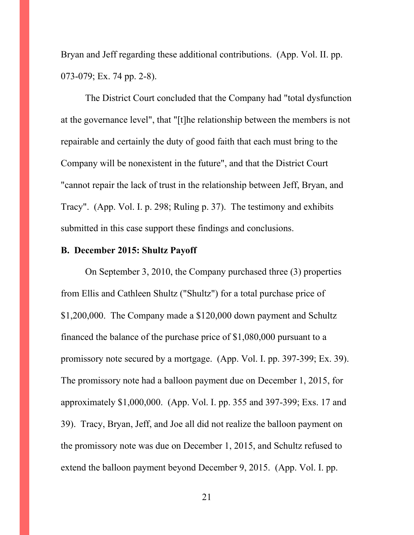Bryan and Jeff regarding these additional contributions. (App. Vol. II. pp. 073-079; Ex. 74 pp. 2-8).

The District Court concluded that the Company had "total dysfunction at the governance level", that "[t]he relationship between the members is not repairable and certainly the duty of good faith that each must bring to the Company will be nonexistent in the future", and that the District Court "cannot repair the lack of trust in the relationship between Jeff, Bryan, and Tracy". (App. Vol. I. p. 298; Ruling p. 37). The testimony and exhibits submitted in this case support these findings and conclusions.

### **B. December 2015: Shultz Payoff**

On September 3, 2010, the Company purchased three (3) properties from Ellis and Cathleen Shultz ("Shultz") for a total purchase price of \$1,200,000. The Company made a \$120,000 down payment and Schultz financed the balance of the purchase price of \$1,080,000 pursuant to a promissory note secured by a mortgage. (App. Vol. I. pp. 397-399; Ex. 39). The promissory note had a balloon payment due on December 1, 2015, for approximately \$1,000,000. (App. Vol. I. pp. 355 and 397-399; Exs. 17 and 39). Tracy, Bryan, Jeff, and Joe all did not realize the balloon payment on the promissory note was due on December 1, 2015, and Schultz refused to extend the balloon payment beyond December 9, 2015. (App. Vol. I. pp.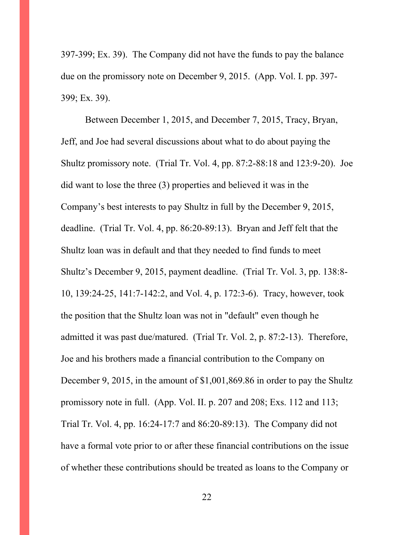397-399; Ex. 39). The Company did not have the funds to pay the balance due on the promissory note on December 9, 2015. (App. Vol. I. pp. 397- 399; Ex. 39).

Between December 1, 2015, and December 7, 2015, Tracy, Bryan, Jeff, and Joe had several discussions about what to do about paying the Shultz promissory note. (Trial Tr. Vol. 4, pp. 87:2-88:18 and 123:9-20). Joe did want to lose the three (3) properties and believed it was in the Company's best interests to pay Shultz in full by the December 9, 2015, deadline. (Trial Tr. Vol. 4, pp. 86:20-89:13). Bryan and Jeff felt that the Shultz loan was in default and that they needed to find funds to meet Shultz's December 9, 2015, payment deadline. (Trial Tr. Vol. 3, pp. 138:8- 10, 139:24-25, 141:7-142:2, and Vol. 4, p. 172:3-6). Tracy, however, took the position that the Shultz loan was not in "default" even though he admitted it was past due/matured. (Trial Tr. Vol. 2, p. 87:2-13). Therefore, Joe and his brothers made a financial contribution to the Company on December 9, 2015, in the amount of \$1,001,869.86 in order to pay the Shultz promissory note in full. (App. Vol. II. p. 207 and 208; Exs. 112 and 113; Trial Tr. Vol. 4, pp. 16:24-17:7 and 86:20-89:13). The Company did not have a formal vote prior to or after these financial contributions on the issue of whether these contributions should be treated as loans to the Company or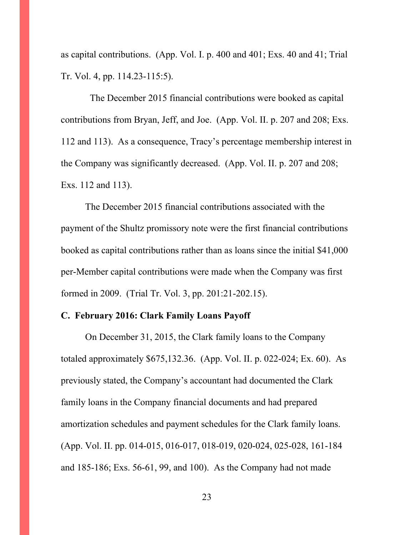as capital contributions. (App. Vol. I. p. 400 and 401; Exs. 40 and 41; Trial Tr. Vol. 4, pp. 114.23-115:5).

 The December 2015 financial contributions were booked as capital contributions from Bryan, Jeff, and Joe. (App. Vol. II. p. 207 and 208; Exs. 112 and 113). As a consequence, Tracy's percentage membership interest in the Company was significantly decreased. (App. Vol. II. p. 207 and 208; Exs. 112 and 113).

The December 2015 financial contributions associated with the payment of the Shultz promissory note were the first financial contributions booked as capital contributions rather than as loans since the initial \$41,000 per-Member capital contributions were made when the Company was first formed in 2009. (Trial Tr. Vol. 3, pp. 201:21-202.15).

### **C. February 2016: Clark Family Loans Payoff**

On December 31, 2015, the Clark family loans to the Company totaled approximately \$675,132.36. (App. Vol. II. p. 022-024; Ex. 60). As previously stated, the Company's accountant had documented the Clark family loans in the Company financial documents and had prepared amortization schedules and payment schedules for the Clark family loans. (App. Vol. II. pp. 014-015, 016-017, 018-019, 020-024, 025-028, 161-184 and 185-186; Exs. 56-61, 99, and 100). As the Company had not made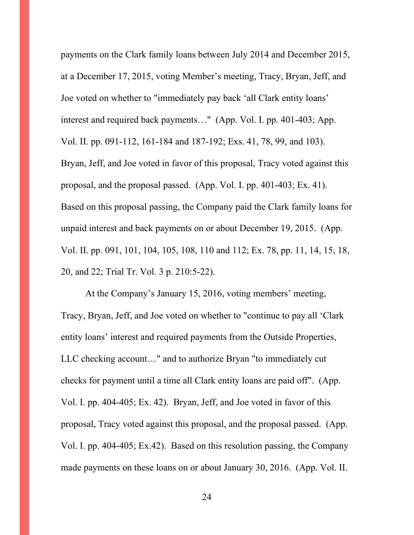payments on the Clark family loans between July 2014 and December 2015, at a December 17, 2015, voting Member's meeting, Tracy, Bryan, Jeff, and Joe voted on whether to "immediately pay back 'all Clark entity loans' interest and required back payments…" (App. Vol. I. pp. 401-403; App. Vol. II. pp. 091-112, 161-184 and 187-192; Exs. 41, 78, 99, and 103). Bryan, Jeff, and Joe voted in favor of this proposal, Tracy voted against this proposal, and the proposal passed. (App. Vol. I. pp. 401-403; Ex. 41). Based on this proposal passing, the Company paid the Clark family loans for unpaid interest and back payments on or about December 19, 2015. (App. Vol. II. pp. 091, 101, 104, 105, 108, 110 and 112; Ex. 78, pp. 11, 14, 15, 18, 20, and 22; Trial Tr. Vol. 3 p. 210:5-22).

At the Company's January 15, 2016, voting members' meeting, Tracy, Bryan, Jeff, and Joe voted on whether to "continue to pay all 'Clark entity loans' interest and required payments from the Outside Properties, LLC checking account…" and to authorize Bryan "to immediately cut checks for payment until a time all Clark entity loans are paid off". (App. Vol. I. pp. 404-405; Ex. 42). Bryan, Jeff, and Joe voted in favor of this proposal, Tracy voted against this proposal, and the proposal passed. (App. Vol. I. pp. 404-405; Ex.42). Based on this resolution passing, the Company made payments on these loans on or about January 30, 2016. (App. Vol. II.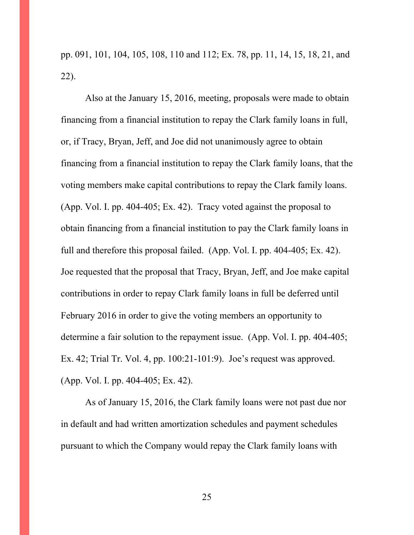pp. 091, 101, 104, 105, 108, 110 and 112; Ex. 78, pp. 11, 14, 15, 18, 21, and 22).

Also at the January 15, 2016, meeting, proposals were made to obtain financing from a financial institution to repay the Clark family loans in full, or, if Tracy, Bryan, Jeff, and Joe did not unanimously agree to obtain financing from a financial institution to repay the Clark family loans, that the voting members make capital contributions to repay the Clark family loans. (App. Vol. I. pp. 404-405; Ex. 42). Tracy voted against the proposal to obtain financing from a financial institution to pay the Clark family loans in full and therefore this proposal failed. (App. Vol. I. pp. 404-405; Ex. 42). Joe requested that the proposal that Tracy, Bryan, Jeff, and Joe make capital contributions in order to repay Clark family loans in full be deferred until February 2016 in order to give the voting members an opportunity to determine a fair solution to the repayment issue. (App. Vol. I. pp. 404-405; Ex. 42; Trial Tr. Vol. 4, pp. 100:21-101:9). Joe's request was approved. (App. Vol. I. pp. 404-405; Ex. 42).

As of January 15, 2016, the Clark family loans were not past due nor in default and had written amortization schedules and payment schedules pursuant to which the Company would repay the Clark family loans with

25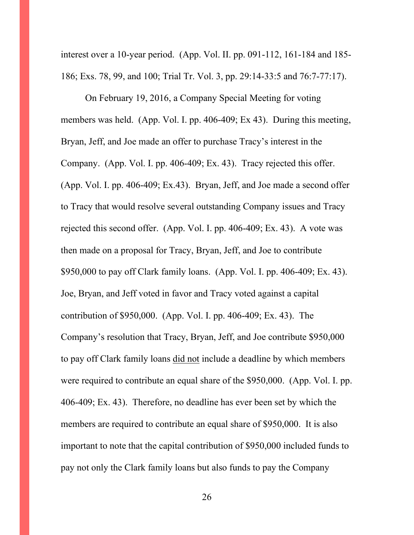interest over a 10-year period. (App. Vol. II. pp. 091-112, 161-184 and 185- 186; Exs. 78, 99, and 100; Trial Tr. Vol. 3, pp. 29:14-33:5 and 76:7-77:17).

On February 19, 2016, a Company Special Meeting for voting members was held. (App. Vol. I. pp. 406-409; Ex 43). During this meeting, Bryan, Jeff, and Joe made an offer to purchase Tracy's interest in the Company. (App. Vol. I. pp. 406-409; Ex. 43). Tracy rejected this offer. (App. Vol. I. pp. 406-409; Ex.43). Bryan, Jeff, and Joe made a second offer to Tracy that would resolve several outstanding Company issues and Tracy rejected this second offer. (App. Vol. I. pp. 406-409; Ex. 43). A vote was then made on a proposal for Tracy, Bryan, Jeff, and Joe to contribute \$950,000 to pay off Clark family loans. (App. Vol. I. pp. 406-409; Ex. 43). Joe, Bryan, and Jeff voted in favor and Tracy voted against a capital contribution of \$950,000. (App. Vol. I. pp. 406-409; Ex. 43). The Company's resolution that Tracy, Bryan, Jeff, and Joe contribute \$950,000 to pay off Clark family loans did not include a deadline by which members were required to contribute an equal share of the \$950,000. (App. Vol. I. pp. 406-409; Ex. 43). Therefore, no deadline has ever been set by which the members are required to contribute an equal share of \$950,000. It is also important to note that the capital contribution of \$950,000 included funds to pay not only the Clark family loans but also funds to pay the Company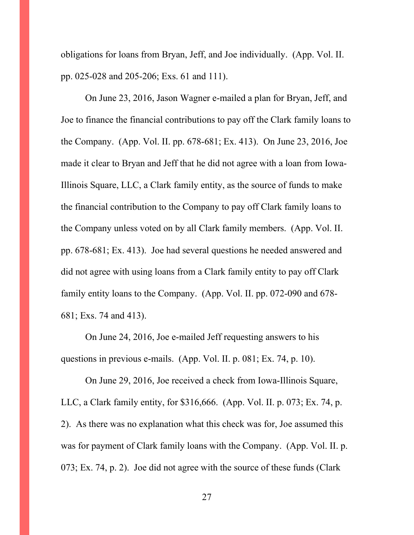obligations for loans from Bryan, Jeff, and Joe individually. (App. Vol. II. pp. 025-028 and 205-206; Exs. 61 and 111).

On June 23, 2016, Jason Wagner e-mailed a plan for Bryan, Jeff, and Joe to finance the financial contributions to pay off the Clark family loans to the Company. (App. Vol. II. pp. 678-681; Ex. 413). On June 23, 2016, Joe made it clear to Bryan and Jeff that he did not agree with a loan from Iowa-Illinois Square, LLC, a Clark family entity, as the source of funds to make the financial contribution to the Company to pay off Clark family loans to the Company unless voted on by all Clark family members. (App. Vol. II. pp. 678-681; Ex. 413). Joe had several questions he needed answered and did not agree with using loans from a Clark family entity to pay off Clark family entity loans to the Company. (App. Vol. II. pp. 072-090 and 678- 681; Exs. 74 and 413).

On June 24, 2016, Joe e-mailed Jeff requesting answers to his questions in previous e-mails. (App. Vol. II. p. 081; Ex. 74, p. 10).

On June 29, 2016, Joe received a check from Iowa-Illinois Square, LLC, a Clark family entity, for \$316,666. (App. Vol. II. p. 073; Ex. 74, p. 2). As there was no explanation what this check was for, Joe assumed this was for payment of Clark family loans with the Company. (App. Vol. II. p. 073; Ex. 74, p. 2). Joe did not agree with the source of these funds (Clark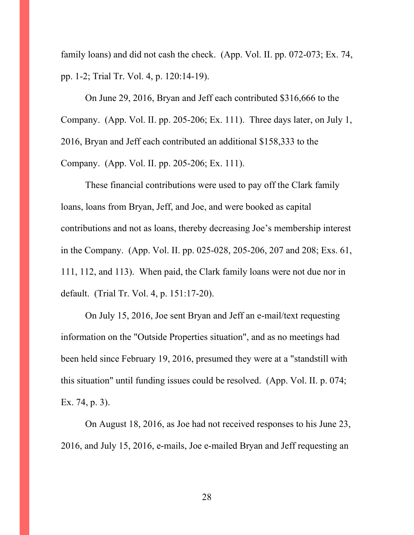family loans) and did not cash the check. (App. Vol. II. pp. 072-073; Ex. 74, pp. 1-2; Trial Tr. Vol. 4, p. 120:14-19).

On June 29, 2016, Bryan and Jeff each contributed \$316,666 to the Company. (App. Vol. II. pp. 205-206; Ex. 111). Three days later, on July 1, 2016, Bryan and Jeff each contributed an additional \$158,333 to the Company. (App. Vol. II. pp. 205-206; Ex. 111).

These financial contributions were used to pay off the Clark family loans, loans from Bryan, Jeff, and Joe, and were booked as capital contributions and not as loans, thereby decreasing Joe's membership interest in the Company. (App. Vol. II. pp. 025-028, 205-206, 207 and 208; Exs. 61, 111, 112, and 113). When paid, the Clark family loans were not due nor in default. (Trial Tr. Vol. 4, p. 151:17-20).

On July 15, 2016, Joe sent Bryan and Jeff an e-mail/text requesting information on the "Outside Properties situation", and as no meetings had been held since February 19, 2016, presumed they were at a "standstill with this situation" until funding issues could be resolved. (App. Vol. II. p. 074; Ex. 74, p. 3).

On August 18, 2016, as Joe had not received responses to his June 23, 2016, and July 15, 2016, e-mails, Joe e-mailed Bryan and Jeff requesting an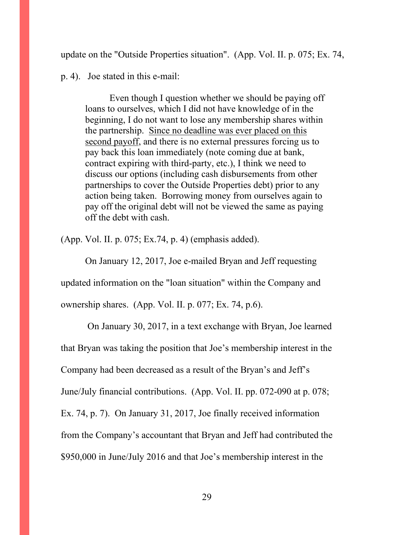update on the "Outside Properties situation". (App. Vol. II. p. 075; Ex. 74,

p. 4). Joe stated in this e-mail:

Even though I question whether we should be paying off loans to ourselves, which I did not have knowledge of in the beginning, I do not want to lose any membership shares within the partnership. Since no deadline was ever placed on this second payoff, and there is no external pressures forcing us to pay back this loan immediately (note coming due at bank, contract expiring with third-party, etc.), I think we need to discuss our options (including cash disbursements from other partnerships to cover the Outside Properties debt) prior to any action being taken. Borrowing money from ourselves again to pay off the original debt will not be viewed the same as paying off the debt with cash.

(App. Vol. II. p. 075; Ex.74, p. 4) (emphasis added).

On January 12, 2017, Joe e-mailed Bryan and Jeff requesting updated information on the "loan situation" within the Company and ownership shares. (App. Vol. II. p. 077; Ex. 74, p.6).

On January 30, 2017, in a text exchange with Bryan, Joe learned that Bryan was taking the position that Joe's membership interest in the Company had been decreased as a result of the Bryan's and Jeff's June/July financial contributions. (App. Vol. II. pp. 072-090 at p. 078; Ex. 74, p. 7). On January 31, 2017, Joe finally received information from the Company's accountant that Bryan and Jeff had contributed the \$950,000 in June/July 2016 and that Joe's membership interest in the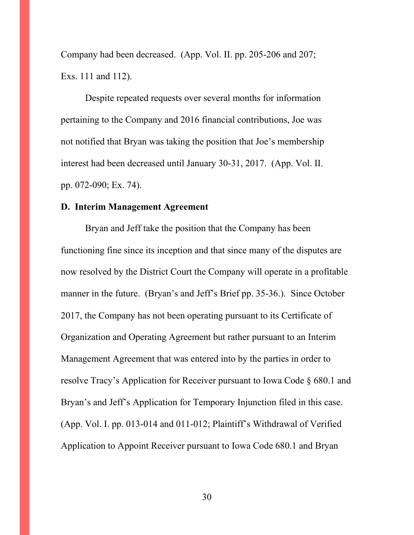Company had been decreased. (App. Vol. II. pp. 205-206 and 207; Exs. 111 and 112).

Despite repeated requests over several months for information pertaining to the Company and 2016 financial contributions, Joe was not notified that Bryan was taking the position that Joe's membership interest had been decreased until January 30-31, 2017. (App. Vol. II. pp. 072-090; Ex. 74).

### **D. Interim Management Agreement**

Bryan and Jeff take the position that the Company has been functioning fine since its inception and that since many of the disputes are now resolved by the District Court the Company will operate in a profitable manner in the future. (Bryan's and Jeff's Brief pp. 35-36.). Since October 2017, the Company has not been operating pursuant to its Certificate of Organization and Operating Agreement but rather pursuant to an Interim Management Agreement that was entered into by the parties in order to resolve Tracy's Application for Receiver pursuant to Iowa Code § 680.1 and Bryan's and Jeff's Application for Temporary Injunction filed in this case. (App. Vol. I. pp. 013-014 and 011-012; Plaintiff's Withdrawal of Verified Application to Appoint Receiver pursuant to Iowa Code 680.1 and Bryan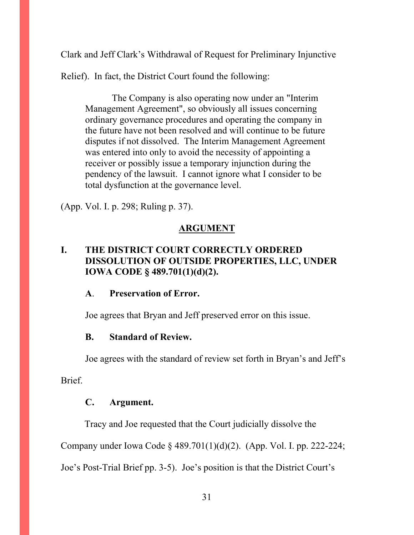Clark and Jeff Clark's Withdrawal of Request for Preliminary Injunctive

Relief). In fact, the District Court found the following:

The Company is also operating now under an "Interim Management Agreement", so obviously all issues concerning ordinary governance procedures and operating the company in the future have not been resolved and will continue to be future disputes if not dissolved. The Interim Management Agreement was entered into only to avoid the necessity of appointing a receiver or possibly issue a temporary injunction during the pendency of the lawsuit. I cannot ignore what I consider to be total dysfunction at the governance level.

(App. Vol. I. p. 298; Ruling p. 37).

# **ARGUMENT**

# **I. THE DISTRICT COURT CORRECTLY ORDERED DISSOLUTION OF OUTSIDE PROPERTIES, LLC, UNDER IOWA CODE § 489.701(1)(d)(2).**

### **A**. **Preservation of Error.**

Joe agrees that Bryan and Jeff preserved error on this issue.

### **B. Standard of Review.**

Joe agrees with the standard of review set forth in Bryan's and Jeff's

**Brief** 

### **C. Argument.**

Tracy and Joe requested that the Court judicially dissolve the

Company under Iowa Code § 489.701(1)(d)(2). (App. Vol. I. pp. 222-224;

Joe's Post-Trial Brief pp. 3-5). Joe's position is that the District Court's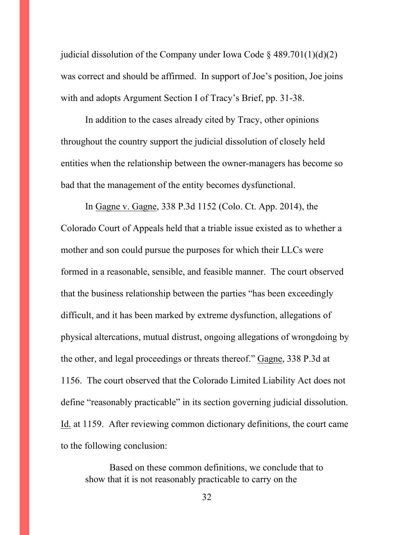judicial dissolution of the Company under Iowa Code  $\S$  489.701(1)(d)(2) was correct and should be affirmed. In support of Joe's position, Joe joins with and adopts Argument Section I of Tracy's Brief, pp. 31-38.

In addition to the cases already cited by Tracy, other opinions throughout the country support the judicial dissolution of closely held entities when the relationship between the owner-managers has become so bad that the management of the entity becomes dysfunctional.

In Gagne v. Gagne, 338 P.3d 1152 (Colo. Ct. App. 2014), the Colorado Court of Appeals held that a triable issue existed as to whether a mother and son could pursue the purposes for which their LLCs were formed in a reasonable, sensible, and feasible manner. The court observed that the business relationship between the parties "has been exceedingly difficult, and it has been marked by extreme dysfunction, allegations of physical altercations, mutual distrust, ongoing allegations of wrongdoing by the other, and legal proceedings or threats thereof." Gagne, 338 P.3d at 1156. The court observed that the Colorado Limited Liability Act does not define "reasonably practicable" in its section governing judicial dissolution. Id. at 1159. After reviewing common dictionary definitions, the court came to the following conclusion:

Based on these common definitions, we conclude that to show that it is not reasonably practicable to carry on the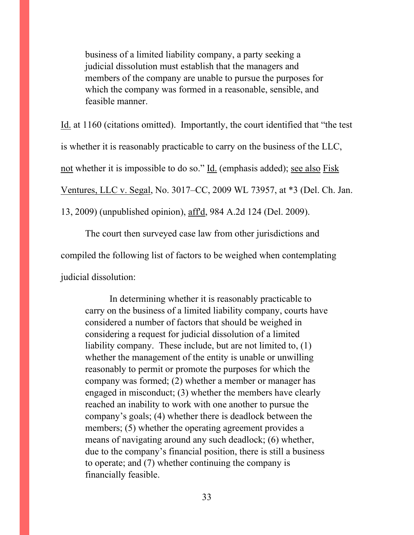business of a limited liability company, a party seeking a judicial dissolution must establish that the managers and members of the company are unable to pursue the purposes for which the company was formed in a reasonable, sensible, and feasible manner.

Id. at 1160 (citations omitted). Importantly, the court identified that "the test is whether it is reasonably practicable to carry on the business of the LLC,

not whether it is impossible to do so." Id. (emphasis added); see also Fisk

Ventures, LLC v. Segal, No. 3017–CC, 2009 WL 73957, at \*3 (Del. Ch. Jan.

13, 2009) (unpublished opinion), aff'd, 984 A.2d 124 (Del. 2009).

The court then surveyed case law from other jurisdictions and

compiled the following list of factors to be weighed when contemplating

judicial dissolution:

In determining whether it is reasonably practicable to carry on the business of a limited liability company, courts have considered a number of factors that should be weighed in considering a request for judicial dissolution of a limited liability company. These include, but are not limited to, (1) whether the management of the entity is unable or unwilling reasonably to permit or promote the purposes for which the company was formed; (2) whether a member or manager has engaged in misconduct; (3) whether the members have clearly reached an inability to work with one another to pursue the company's goals; (4) whether there is deadlock between the members; (5) whether the operating agreement provides a means of navigating around any such deadlock; (6) whether, due to the company's financial position, there is still a business to operate; and (7) whether continuing the company is financially feasible.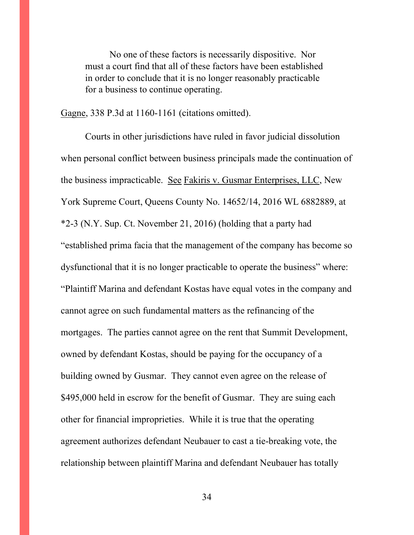No one of these factors is necessarily dispositive. Nor must a court find that all of these factors have been established in order to conclude that it is no longer reasonably practicable for a business to continue operating.

Gagne, 338 P.3d at 1160-1161 (citations omitted).

Courts in other jurisdictions have ruled in favor judicial dissolution when personal conflict between business principals made the continuation of the business impracticable. See Fakiris v. Gusmar Enterprises, LLC, New York Supreme Court, Queens County No. 14652/14, 2016 WL 6882889, at \*2-3 (N.Y. Sup. Ct. November 21, 2016) (holding that a party had "established prima facia that the management of the company has become so dysfunctional that it is no longer practicable to operate the business" where: "Plaintiff Marina and defendant Kostas have equal votes in the company and cannot agree on such fundamental matters as the refinancing of the mortgages. The parties cannot agree on the rent that Summit Development, owned by defendant Kostas, should be paying for the occupancy of a building owned by Gusmar. They cannot even agree on the release of \$495,000 held in escrow for the benefit of Gusmar. They are suing each other for financial improprieties. While it is true that the operating agreement authorizes defendant Neubauer to cast a tie-breaking vote, the relationship between plaintiff Marina and defendant Neubauer has totally

34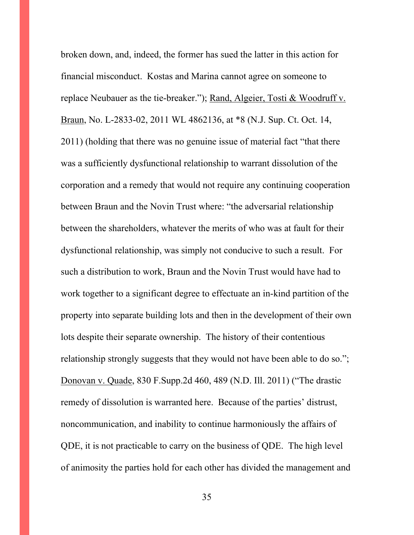broken down, and, indeed, the former has sued the latter in this action for financial misconduct. Kostas and Marina cannot agree on someone to replace Neubauer as the tie-breaker."); Rand, Algeier, Tosti & Woodruff v. Braun, No. L-2833-02, 2011 WL 4862136, at \*8 (N.J. Sup. Ct. Oct. 14, 2011) (holding that there was no genuine issue of material fact "that there was a sufficiently dysfunctional relationship to warrant dissolution of the corporation and a remedy that would not require any continuing cooperation between Braun and the Novin Trust where: "the adversarial relationship between the shareholders, whatever the merits of who was at fault for their dysfunctional relationship, was simply not conducive to such a result. For such a distribution to work, Braun and the Novin Trust would have had to work together to a significant degree to effectuate an in-kind partition of the property into separate building lots and then in the development of their own lots despite their separate ownership. The history of their contentious relationship strongly suggests that they would not have been able to do so."; Donovan v. Quade, 830 F.Supp.2d 460, 489 (N.D. Ill. 2011) ("The drastic remedy of dissolution is warranted here. Because of the parties' distrust, noncommunication, and inability to continue harmoniously the affairs of QDE, it is not practicable to carry on the business of QDE. The high level of animosity the parties hold for each other has divided the management and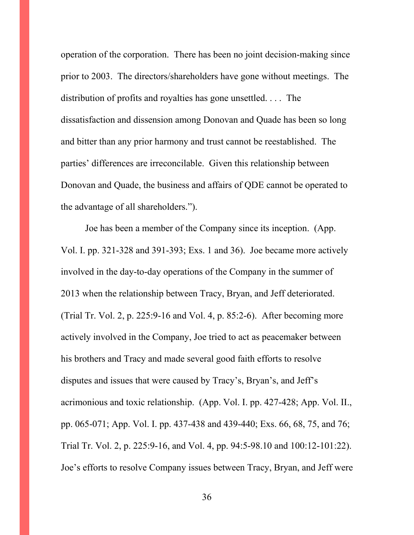operation of the corporation. There has been no joint decision-making since prior to 2003. The directors/shareholders have gone without meetings. The distribution of profits and royalties has gone unsettled. . . . The dissatisfaction and dissension among Donovan and Quade has been so long and bitter than any prior harmony and trust cannot be reestablished. The parties' differences are irreconcilable. Given this relationship between Donovan and Quade, the business and affairs of QDE cannot be operated to the advantage of all shareholders.").

Joe has been a member of the Company since its inception. (App. Vol. I. pp. 321-328 and 391-393; Exs. 1 and 36). Joe became more actively involved in the day-to-day operations of the Company in the summer of 2013 when the relationship between Tracy, Bryan, and Jeff deteriorated. (Trial Tr. Vol. 2, p. 225:9-16 and Vol. 4, p. 85:2-6). After becoming more actively involved in the Company, Joe tried to act as peacemaker between his brothers and Tracy and made several good faith efforts to resolve disputes and issues that were caused by Tracy's, Bryan's, and Jeff's acrimonious and toxic relationship. (App. Vol. I. pp. 427-428; App. Vol. II., pp. 065-071; App. Vol. I. pp. 437-438 and 439-440; Exs. 66, 68, 75, and 76; Trial Tr. Vol. 2, p. 225:9-16, and Vol. 4, pp. 94:5-98.10 and 100:12-101:22). Joe's efforts to resolve Company issues between Tracy, Bryan, and Jeff were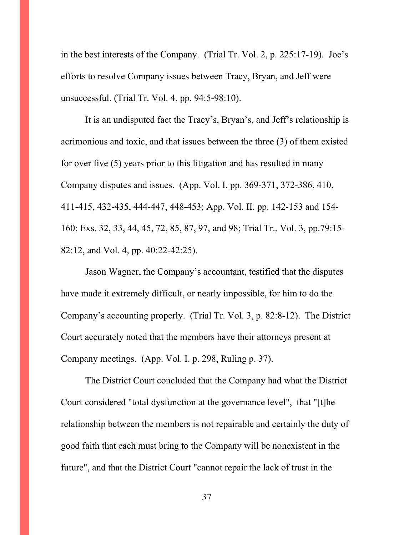in the best interests of the Company. (Trial Tr. Vol. 2, p. 225:17-19). Joe's efforts to resolve Company issues between Tracy, Bryan, and Jeff were unsuccessful. (Trial Tr. Vol. 4, pp. 94:5-98:10).

It is an undisputed fact the Tracy's, Bryan's, and Jeff's relationship is acrimonious and toxic, and that issues between the three (3) of them existed for over five (5) years prior to this litigation and has resulted in many Company disputes and issues. (App. Vol. I. pp. 369-371, 372-386, 410, 411-415, 432-435, 444-447, 448-453; App. Vol. II. pp. 142-153 and 154- 160; Exs. 32, 33, 44, 45, 72, 85, 87, 97, and 98; Trial Tr., Vol. 3, pp.79:15- 82:12, and Vol. 4, pp. 40:22-42:25).

Jason Wagner, the Company's accountant, testified that the disputes have made it extremely difficult, or nearly impossible, for him to do the Company's accounting properly. (Trial Tr. Vol. 3, p. 82:8-12). The District Court accurately noted that the members have their attorneys present at Company meetings. (App. Vol. I. p. 298, Ruling p. 37).

The District Court concluded that the Company had what the District Court considered "total dysfunction at the governance level", that "[t]he relationship between the members is not repairable and certainly the duty of good faith that each must bring to the Company will be nonexistent in the future", and that the District Court "cannot repair the lack of trust in the

37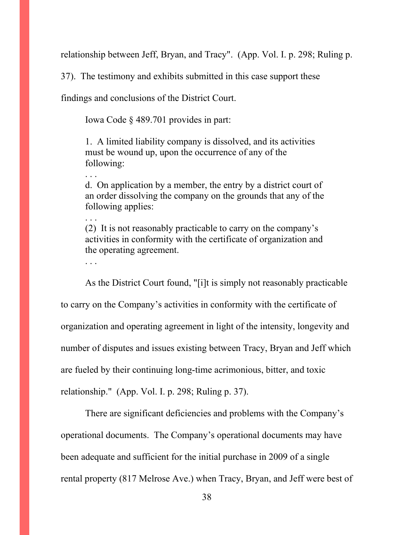relationship between Jeff, Bryan, and Tracy". (App. Vol. I. p. 298; Ruling p.

37). The testimony and exhibits submitted in this case support these

findings and conclusions of the District Court.

Iowa Code § 489.701 provides in part:

1. A limited liability company is dissolved, and its activities must be wound up, upon the occurrence of any of the following:

d. On application by a member, the entry by a district court of an order dissolving the company on the grounds that any of the following applies:

(2) It is not reasonably practicable to carry on the company's activities in conformity with the certificate of organization and the operating agreement.

. . .

. . .

. . .

As the District Court found, "[i]t is simply not reasonably practicable to carry on the Company's activities in conformity with the certificate of organization and operating agreement in light of the intensity, longevity and number of disputes and issues existing between Tracy, Bryan and Jeff which are fueled by their continuing long-time acrimonious, bitter, and toxic relationship." (App. Vol. I. p. 298; Ruling p. 37).

There are significant deficiencies and problems with the Company's operational documents. The Company's operational documents may have been adequate and sufficient for the initial purchase in 2009 of a single rental property (817 Melrose Ave.) when Tracy, Bryan, and Jeff were best of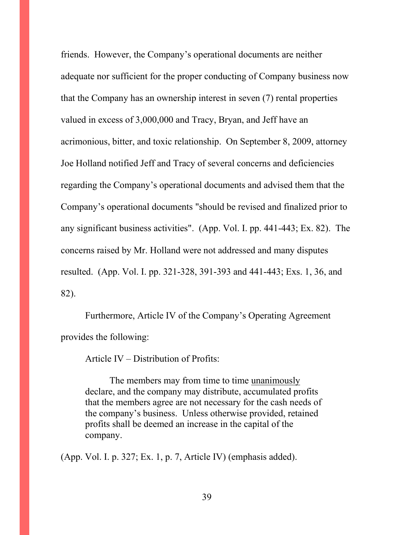friends. However, the Company's operational documents are neither adequate nor sufficient for the proper conducting of Company business now that the Company has an ownership interest in seven (7) rental properties valued in excess of 3,000,000 and Tracy, Bryan, and Jeff have an acrimonious, bitter, and toxic relationship. On September 8, 2009, attorney Joe Holland notified Jeff and Tracy of several concerns and deficiencies regarding the Company's operational documents and advised them that the Company's operational documents "should be revised and finalized prior to any significant business activities". (App. Vol. I. pp. 441-443; Ex. 82). The concerns raised by Mr. Holland were not addressed and many disputes resulted. (App. Vol. I. pp. 321-328, 391-393 and 441-443; Exs. 1, 36, and 82).

Furthermore, Article IV of the Company's Operating Agreement provides the following:

Article IV – Distribution of Profits:

The members may from time to time unanimously declare, and the company may distribute, accumulated profits that the members agree are not necessary for the cash needs of the company's business. Unless otherwise provided, retained profits shall be deemed an increase in the capital of the company.

(App. Vol. I. p. 327; Ex. 1, p. 7, Article IV) (emphasis added).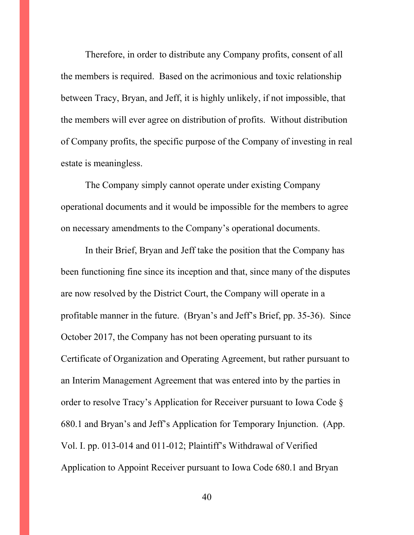Therefore, in order to distribute any Company profits, consent of all the members is required. Based on the acrimonious and toxic relationship between Tracy, Bryan, and Jeff, it is highly unlikely, if not impossible, that the members will ever agree on distribution of profits. Without distribution of Company profits, the specific purpose of the Company of investing in real estate is meaningless.

The Company simply cannot operate under existing Company operational documents and it would be impossible for the members to agree on necessary amendments to the Company's operational documents.

In their Brief, Bryan and Jeff take the position that the Company has been functioning fine since its inception and that, since many of the disputes are now resolved by the District Court, the Company will operate in a profitable manner in the future. (Bryan's and Jeff's Brief, pp. 35-36). Since October 2017, the Company has not been operating pursuant to its Certificate of Organization and Operating Agreement, but rather pursuant to an Interim Management Agreement that was entered into by the parties in order to resolve Tracy's Application for Receiver pursuant to Iowa Code § 680.1 and Bryan's and Jeff's Application for Temporary Injunction. (App. Vol. I. pp. 013-014 and 011-012; Plaintiff's Withdrawal of Verified Application to Appoint Receiver pursuant to Iowa Code 680.1 and Bryan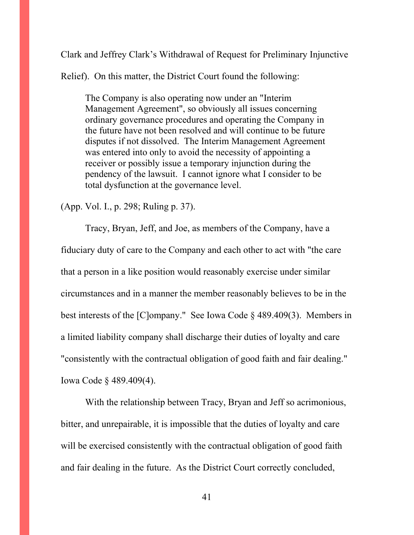Clark and Jeffrey Clark's Withdrawal of Request for Preliminary Injunctive

Relief). On this matter, the District Court found the following:

The Company is also operating now under an "Interim Management Agreement", so obviously all issues concerning ordinary governance procedures and operating the Company in the future have not been resolved and will continue to be future disputes if not dissolved. The Interim Management Agreement was entered into only to avoid the necessity of appointing a receiver or possibly issue a temporary injunction during the pendency of the lawsuit. I cannot ignore what I consider to be total dysfunction at the governance level.

(App. Vol. I., p. 298; Ruling p. 37).

Tracy, Bryan, Jeff, and Joe, as members of the Company, have a fiduciary duty of care to the Company and each other to act with "the care that a person in a like position would reasonably exercise under similar circumstances and in a manner the member reasonably believes to be in the best interests of the [C]ompany." See Iowa Code § 489.409(3). Members in a limited liability company shall discharge their duties of loyalty and care "consistently with the contractual obligation of good faith and fair dealing." Iowa Code § 489.409(4).

With the relationship between Tracy, Bryan and Jeff so acrimonious, bitter, and unrepairable, it is impossible that the duties of loyalty and care will be exercised consistently with the contractual obligation of good faith and fair dealing in the future. As the District Court correctly concluded,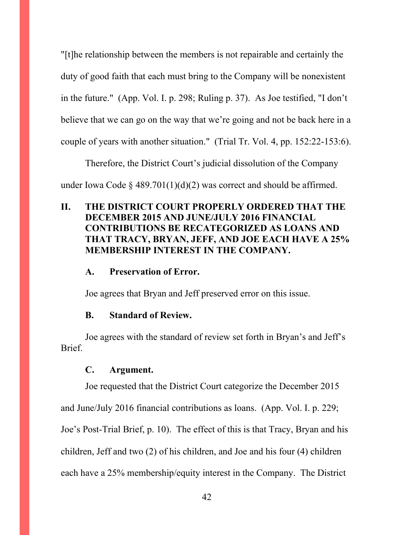"[t]he relationship between the members is not repairable and certainly the duty of good faith that each must bring to the Company will be nonexistent in the future." (App. Vol. I. p. 298; Ruling p. 37). As Joe testified, "I don't believe that we can go on the way that we're going and not be back here in a couple of years with another situation." (Trial Tr. Vol. 4, pp. 152:22-153:6).

Therefore, the District Court's judicial dissolution of the Company under Iowa Code § 489.701(1)(d)(2) was correct and should be affirmed.

# **II. THE DISTRICT COURT PROPERLY ORDERED THAT THE DECEMBER 2015 AND JUNE/JULY 2016 FINANCIAL CONTRIBUTIONS BE RECATEGORIZED AS LOANS AND THAT TRACY, BRYAN, JEFF, AND JOE EACH HAVE A 25% MEMBERSHIP INTEREST IN THE COMPANY.**

#### **A. Preservation of Error.**

Joe agrees that Bryan and Jeff preserved error on this issue.

#### **B. Standard of Review.**

Joe agrees with the standard of review set forth in Bryan's and Jeff's Brief.

#### **C. Argument.**

Joe requested that the District Court categorize the December 2015

and June/July 2016 financial contributions as loans. (App. Vol. I. p. 229;

Joe's Post-Trial Brief, p. 10). The effect of this is that Tracy, Bryan and his

children, Jeff and two (2) of his children, and Joe and his four (4) children

each have a 25% membership/equity interest in the Company. The District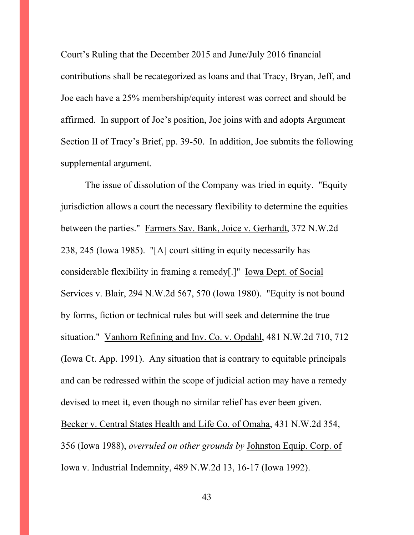Court's Ruling that the December 2015 and June/July 2016 financial contributions shall be recategorized as loans and that Tracy, Bryan, Jeff, and Joe each have a 25% membership/equity interest was correct and should be affirmed. In support of Joe's position, Joe joins with and adopts Argument Section II of Tracy's Brief, pp. 39-50. In addition, Joe submits the following supplemental argument.

The issue of dissolution of the Company was tried in equity. "Equity jurisdiction allows a court the necessary flexibility to determine the equities between the parties." Farmers Sav. Bank, Joice v. Gerhardt, 372 N.W.2d 238, 245 (Iowa 1985). "[A] court sitting in equity necessarily has considerable flexibility in framing a remedy[.]" Iowa Dept. of Social Services v. Blair, 294 N.W.2d 567, 570 (Iowa 1980). "Equity is not bound by forms, fiction or technical rules but will seek and determine the true situation." Vanhorn Refining and Inv. Co. v. Opdahl, 481 N.W.2d 710, 712 (Iowa Ct. App. 1991). Any situation that is contrary to equitable principals and can be redressed within the scope of judicial action may have a remedy devised to meet it, even though no similar relief has ever been given. Becker v. Central States Health and Life Co. of Omaha, 431 N.W.2d 354, 356 (Iowa 1988), *overruled on other grounds by* Johnston Equip. Corp. of Iowa v. Industrial Indemnity, 489 N.W.2d 13, 16-17 (Iowa 1992).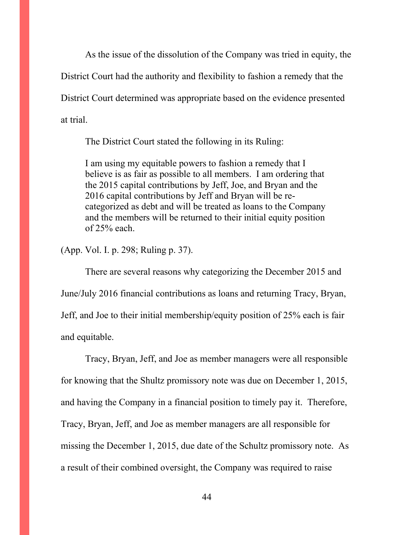As the issue of the dissolution of the Company was tried in equity, the District Court had the authority and flexibility to fashion a remedy that the District Court determined was appropriate based on the evidence presented at trial.

The District Court stated the following in its Ruling:

I am using my equitable powers to fashion a remedy that I believe is as fair as possible to all members. I am ordering that the 2015 capital contributions by Jeff, Joe, and Bryan and the 2016 capital contributions by Jeff and Bryan will be recategorized as debt and will be treated as loans to the Company and the members will be returned to their initial equity position of 25% each.

(App. Vol. I. p. 298; Ruling p. 37).

There are several reasons why categorizing the December 2015 and June/July 2016 financial contributions as loans and returning Tracy, Bryan, Jeff, and Joe to their initial membership/equity position of 25% each is fair and equitable.

Tracy, Bryan, Jeff, and Joe as member managers were all responsible for knowing that the Shultz promissory note was due on December 1, 2015, and having the Company in a financial position to timely pay it. Therefore, Tracy, Bryan, Jeff, and Joe as member managers are all responsible for missing the December 1, 2015, due date of the Schultz promissory note. As a result of their combined oversight, the Company was required to raise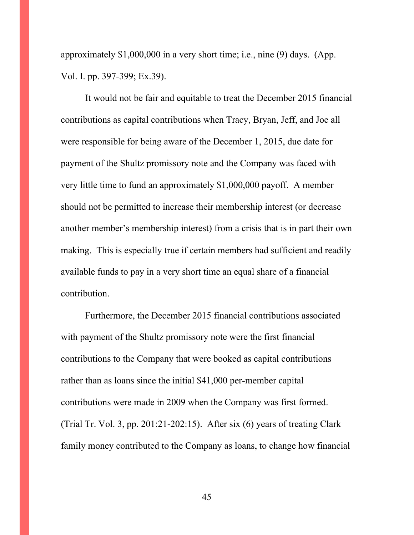approximately \$1,000,000 in a very short time; i.e., nine (9) days. (App. Vol. I. pp. 397-399; Ex.39).

It would not be fair and equitable to treat the December 2015 financial contributions as capital contributions when Tracy, Bryan, Jeff, and Joe all were responsible for being aware of the December 1, 2015, due date for payment of the Shultz promissory note and the Company was faced with very little time to fund an approximately \$1,000,000 payoff. A member should not be permitted to increase their membership interest (or decrease another member's membership interest) from a crisis that is in part their own making. This is especially true if certain members had sufficient and readily available funds to pay in a very short time an equal share of a financial contribution.

Furthermore, the December 2015 financial contributions associated with payment of the Shultz promissory note were the first financial contributions to the Company that were booked as capital contributions rather than as loans since the initial \$41,000 per-member capital contributions were made in 2009 when the Company was first formed. (Trial Tr. Vol. 3, pp. 201:21-202:15). After six (6) years of treating Clark family money contributed to the Company as loans, to change how financial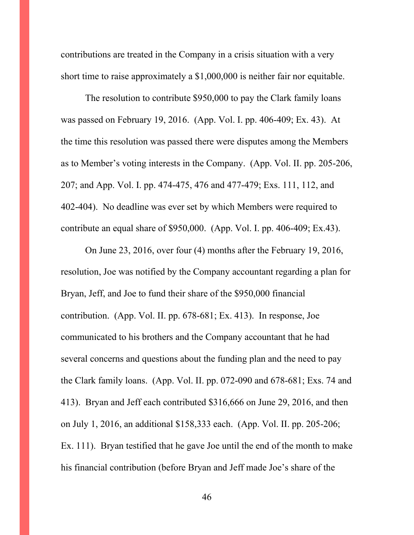contributions are treated in the Company in a crisis situation with a very short time to raise approximately a \$1,000,000 is neither fair nor equitable.

The resolution to contribute \$950,000 to pay the Clark family loans was passed on February 19, 2016. (App. Vol. I. pp. 406-409; Ex. 43). At the time this resolution was passed there were disputes among the Members as to Member's voting interests in the Company. (App. Vol. II. pp. 205-206, 207; and App. Vol. I. pp. 474-475, 476 and 477-479; Exs. 111, 112, and 402-404). No deadline was ever set by which Members were required to contribute an equal share of \$950,000. (App. Vol. I. pp. 406-409; Ex.43).

On June 23, 2016, over four (4) months after the February 19, 2016, resolution, Joe was notified by the Company accountant regarding a plan for Bryan, Jeff, and Joe to fund their share of the \$950,000 financial contribution. (App. Vol. II. pp. 678-681; Ex. 413). In response, Joe communicated to his brothers and the Company accountant that he had several concerns and questions about the funding plan and the need to pay the Clark family loans. (App. Vol. II. pp. 072-090 and 678-681; Exs. 74 and 413). Bryan and Jeff each contributed \$316,666 on June 29, 2016, and then on July 1, 2016, an additional \$158,333 each. (App. Vol. II. pp. 205-206; Ex. 111). Bryan testified that he gave Joe until the end of the month to make his financial contribution (before Bryan and Jeff made Joe's share of the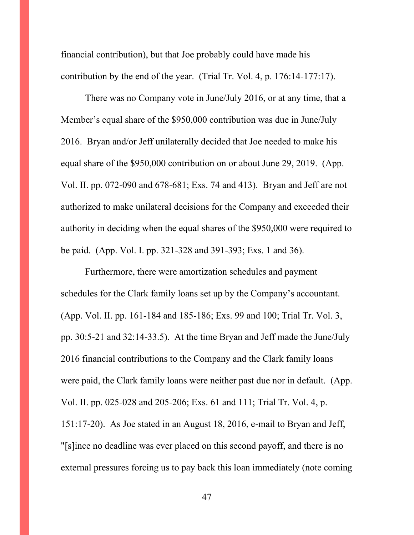financial contribution), but that Joe probably could have made his contribution by the end of the year. (Trial Tr. Vol. 4, p. 176:14-177:17).

There was no Company vote in June/July 2016, or at any time, that a Member's equal share of the \$950,000 contribution was due in June/July 2016. Bryan and/or Jeff unilaterally decided that Joe needed to make his equal share of the \$950,000 contribution on or about June 29, 2019. (App. Vol. II. pp. 072-090 and 678-681; Exs. 74 and 413). Bryan and Jeff are not authorized to make unilateral decisions for the Company and exceeded their authority in deciding when the equal shares of the \$950,000 were required to be paid. (App. Vol. I. pp. 321-328 and 391-393; Exs. 1 and 36).

Furthermore, there were amortization schedules and payment schedules for the Clark family loans set up by the Company's accountant. (App. Vol. II. pp. 161-184 and 185-186; Exs. 99 and 100; Trial Tr. Vol. 3, pp. 30:5-21 and 32:14-33.5). At the time Bryan and Jeff made the June/July 2016 financial contributions to the Company and the Clark family loans were paid, the Clark family loans were neither past due nor in default. (App. Vol. II. pp. 025-028 and 205-206; Exs. 61 and 111; Trial Tr. Vol. 4, p. 151:17-20). As Joe stated in an August 18, 2016, e-mail to Bryan and Jeff, "[s]ince no deadline was ever placed on this second payoff, and there is no external pressures forcing us to pay back this loan immediately (note coming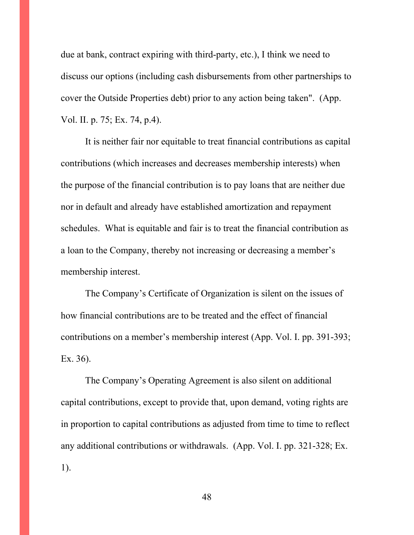due at bank, contract expiring with third-party, etc.), I think we need to discuss our options (including cash disbursements from other partnerships to cover the Outside Properties debt) prior to any action being taken". (App. Vol. II. p. 75; Ex. 74, p.4).

It is neither fair nor equitable to treat financial contributions as capital contributions (which increases and decreases membership interests) when the purpose of the financial contribution is to pay loans that are neither due nor in default and already have established amortization and repayment schedules. What is equitable and fair is to treat the financial contribution as a loan to the Company, thereby not increasing or decreasing a member's membership interest.

The Company's Certificate of Organization is silent on the issues of how financial contributions are to be treated and the effect of financial contributions on a member's membership interest (App. Vol. I. pp. 391-393; Ex. 36).

The Company's Operating Agreement is also silent on additional capital contributions, except to provide that, upon demand, voting rights are in proportion to capital contributions as adjusted from time to time to reflect any additional contributions or withdrawals. (App. Vol. I. pp. 321-328; Ex. 1).

48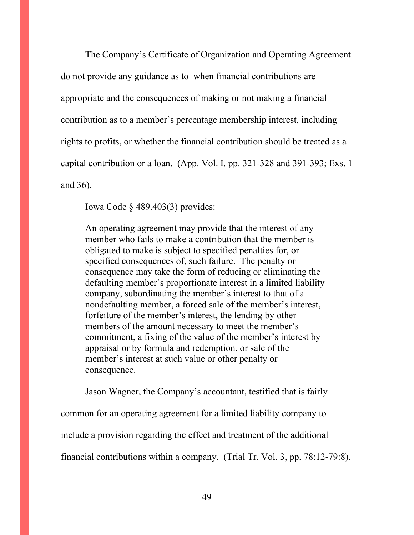The Company's Certificate of Organization and Operating Agreement do not provide any guidance as to when financial contributions are appropriate and the consequences of making or not making a financial contribution as to a member's percentage membership interest, including rights to profits, or whether the financial contribution should be treated as a capital contribution or a loan. (App. Vol. I. pp. 321-328 and 391-393; Exs. 1 and 36).

Iowa Code § 489.403(3) provides:

An operating agreement may provide that the interest of any member who fails to make a contribution that the member is obligated to make is subject to specified penalties for, or specified consequences of, such failure. The penalty or consequence may take the form of reducing or eliminating the defaulting member's proportionate interest in a limited liability company, subordinating the member's interest to that of a nondefaulting member, a forced sale of the member's interest, forfeiture of the member's interest, the lending by other members of the amount necessary to meet the member's commitment, a fixing of the value of the member's interest by appraisal or by formula and redemption, or sale of the member's interest at such value or other penalty or consequence.

Jason Wagner, the Company's accountant, testified that is fairly common for an operating agreement for a limited liability company to include a provision regarding the effect and treatment of the additional financial contributions within a company. (Trial Tr. Vol. 3, pp. 78:12-79:8).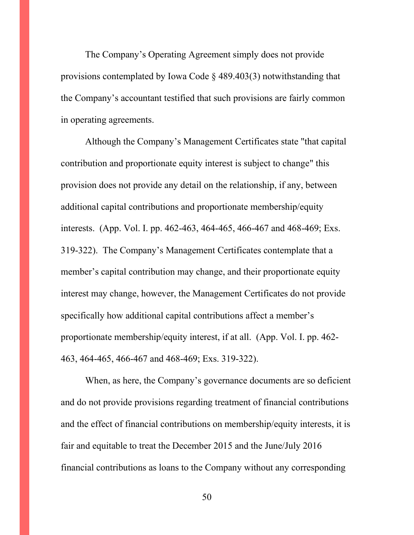The Company's Operating Agreement simply does not provide provisions contemplated by Iowa Code § 489.403(3) notwithstanding that the Company's accountant testified that such provisions are fairly common in operating agreements.

Although the Company's Management Certificates state "that capital contribution and proportionate equity interest is subject to change" this provision does not provide any detail on the relationship, if any, between additional capital contributions and proportionate membership/equity interests. (App. Vol. I. pp. 462-463, 464-465, 466-467 and 468-469; Exs. 319-322). The Company's Management Certificates contemplate that a member's capital contribution may change, and their proportionate equity interest may change, however, the Management Certificates do not provide specifically how additional capital contributions affect a member's proportionate membership/equity interest, if at all. (App. Vol. I. pp. 462- 463, 464-465, 466-467 and 468-469; Exs. 319-322).

When, as here, the Company's governance documents are so deficient and do not provide provisions regarding treatment of financial contributions and the effect of financial contributions on membership/equity interests, it is fair and equitable to treat the December 2015 and the June/July 2016 financial contributions as loans to the Company without any corresponding

50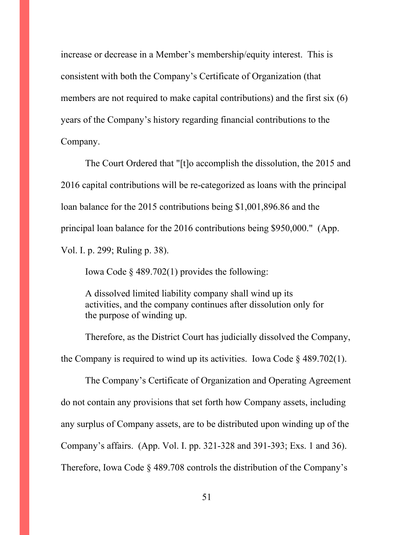increase or decrease in a Member's membership/equity interest. This is consistent with both the Company's Certificate of Organization (that members are not required to make capital contributions) and the first six (6) years of the Company's history regarding financial contributions to the Company.

The Court Ordered that "[t]o accomplish the dissolution, the 2015 and 2016 capital contributions will be re-categorized as loans with the principal loan balance for the 2015 contributions being \$1,001,896.86 and the principal loan balance for the 2016 contributions being \$950,000." (App. Vol. I. p. 299; Ruling p. 38).

Iowa Code § 489.702(1) provides the following:

A dissolved limited liability company shall wind up its activities, and the company continues after dissolution only for the purpose of winding up.

Therefore, as the District Court has judicially dissolved the Company, the Company is required to wind up its activities. Iowa Code  $\S$  489.702(1).

The Company's Certificate of Organization and Operating Agreement do not contain any provisions that set forth how Company assets, including any surplus of Company assets, are to be distributed upon winding up of the Company's affairs. (App. Vol. I. pp. 321-328 and 391-393; Exs. 1 and 36). Therefore, Iowa Code § 489.708 controls the distribution of the Company's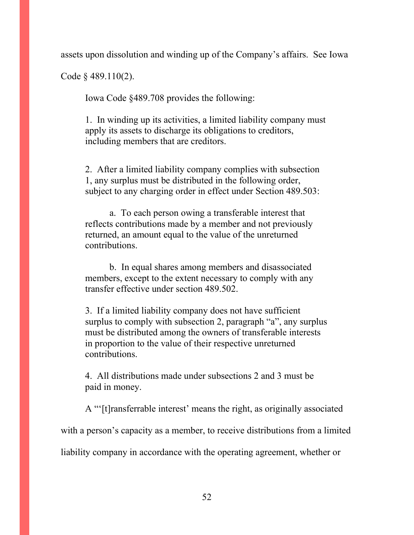assets upon dissolution and winding up of the Company's affairs. See Iowa

Code § 489.110(2).

Iowa Code §489.708 provides the following:

1. In winding up its activities, a limited liability company must apply its assets to discharge its obligations to creditors, including members that are creditors.

2. After a limited liability company complies with subsection 1, any surplus must be distributed in the following order, subject to any charging order in effect under Section 489.503:

a. To each person owing a transferable interest that reflects contributions made by a member and not previously returned, an amount equal to the value of the unreturned contributions.

b. In equal shares among members and disassociated members, except to the extent necessary to comply with any transfer effective under section 489.502.

3. If a limited liability company does not have sufficient surplus to comply with subsection 2, paragraph "a", any surplus must be distributed among the owners of transferable interests in proportion to the value of their respective unreturned contributions.

4. All distributions made under subsections 2 and 3 must be paid in money.

A "'[t]ransferrable interest' means the right, as originally associated with a person's capacity as a member, to receive distributions from a limited liability company in accordance with the operating agreement, whether or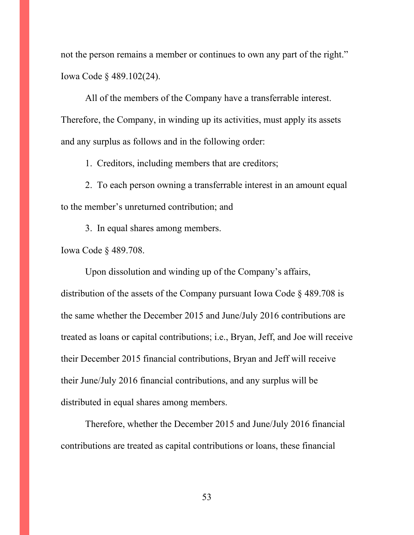not the person remains a member or continues to own any part of the right." Iowa Code § 489.102(24).

All of the members of the Company have a transferrable interest. Therefore, the Company, in winding up its activities, must apply its assets and any surplus as follows and in the following order:

1. Creditors, including members that are creditors;

2. To each person owning a transferrable interest in an amount equal to the member's unreturned contribution; and

3. In equal shares among members.

Iowa Code § 489.708.

Upon dissolution and winding up of the Company's affairs, distribution of the assets of the Company pursuant Iowa Code § 489.708 is the same whether the December 2015 and June/July 2016 contributions are treated as loans or capital contributions; i.e., Bryan, Jeff, and Joe will receive their December 2015 financial contributions, Bryan and Jeff will receive their June/July 2016 financial contributions, and any surplus will be distributed in equal shares among members.

Therefore, whether the December 2015 and June/July 2016 financial contributions are treated as capital contributions or loans, these financial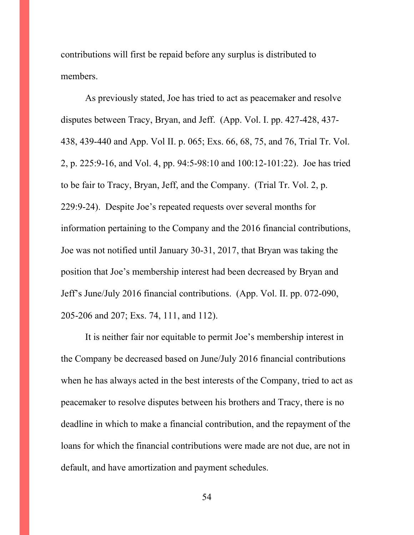contributions will first be repaid before any surplus is distributed to members.

As previously stated, Joe has tried to act as peacemaker and resolve disputes between Tracy, Bryan, and Jeff. (App. Vol. I. pp. 427-428, 437- 438, 439-440 and App. Vol II. p. 065; Exs. 66, 68, 75, and 76, Trial Tr. Vol. 2, p. 225:9-16, and Vol. 4, pp. 94:5-98:10 and 100:12-101:22). Joe has tried to be fair to Tracy, Bryan, Jeff, and the Company. (Trial Tr. Vol. 2, p. 229:9-24). Despite Joe's repeated requests over several months for information pertaining to the Company and the 2016 financial contributions, Joe was not notified until January 30-31, 2017, that Bryan was taking the position that Joe's membership interest had been decreased by Bryan and Jeff's June/July 2016 financial contributions. (App. Vol. II. pp. 072-090, 205-206 and 207; Exs. 74, 111, and 112).

It is neither fair nor equitable to permit Joe's membership interest in the Company be decreased based on June/July 2016 financial contributions when he has always acted in the best interests of the Company, tried to act as peacemaker to resolve disputes between his brothers and Tracy, there is no deadline in which to make a financial contribution, and the repayment of the loans for which the financial contributions were made are not due, are not in default, and have amortization and payment schedules.

54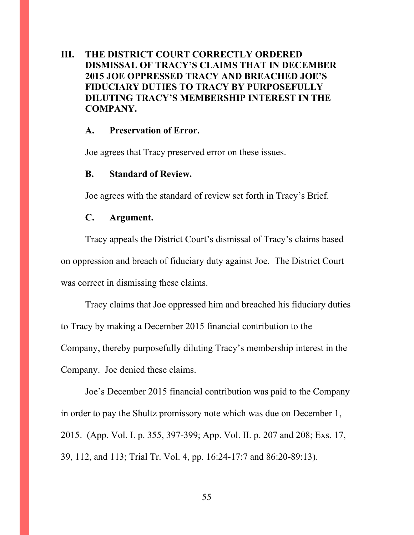## **III. THE DISTRICT COURT CORRECTLY ORDERED DISMISSAL OF TRACY'S CLAIMS THAT IN DECEMBER 2015 JOE OPPRESSED TRACY AND BREACHED JOE'S FIDUCIARY DUTIES TO TRACY BY PURPOSEFULLY DILUTING TRACY'S MEMBERSHIP INTEREST IN THE COMPANY.**

#### **A. Preservation of Error.**

Joe agrees that Tracy preserved error on these issues.

#### **B. Standard of Review.**

Joe agrees with the standard of review set forth in Tracy's Brief.

### **C. Argument.**

Tracy appeals the District Court's dismissal of Tracy's claims based on oppression and breach of fiduciary duty against Joe. The District Court was correct in dismissing these claims.

Tracy claims that Joe oppressed him and breached his fiduciary duties to Tracy by making a December 2015 financial contribution to the Company, thereby purposefully diluting Tracy's membership interest in the Company. Joe denied these claims.

Joe's December 2015 financial contribution was paid to the Company in order to pay the Shultz promissory note which was due on December 1, 2015. (App. Vol. I. p. 355, 397-399; App. Vol. II. p. 207 and 208; Exs. 17, 39, 112, and 113; Trial Tr. Vol. 4, pp. 16:24-17:7 and 86:20-89:13).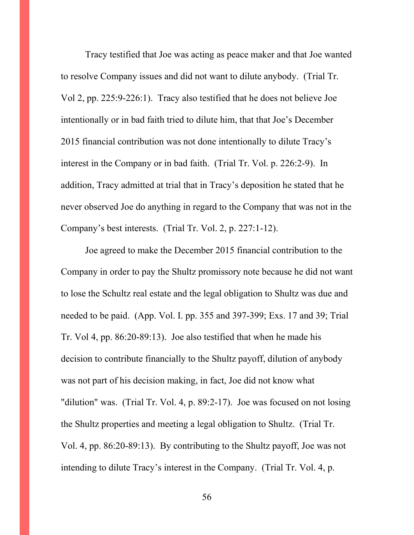Tracy testified that Joe was acting as peace maker and that Joe wanted to resolve Company issues and did not want to dilute anybody. (Trial Tr. Vol 2, pp. 225:9-226:1). Tracy also testified that he does not believe Joe intentionally or in bad faith tried to dilute him, that that Joe's December 2015 financial contribution was not done intentionally to dilute Tracy's interest in the Company or in bad faith. (Trial Tr. Vol. p. 226:2-9). In addition, Tracy admitted at trial that in Tracy's deposition he stated that he never observed Joe do anything in regard to the Company that was not in the Company's best interests. (Trial Tr. Vol. 2, p. 227:1-12).

Joe agreed to make the December 2015 financial contribution to the Company in order to pay the Shultz promissory note because he did not want to lose the Schultz real estate and the legal obligation to Shultz was due and needed to be paid. (App. Vol. I. pp. 355 and 397-399; Exs. 17 and 39; Trial Tr. Vol 4, pp. 86:20-89:13). Joe also testified that when he made his decision to contribute financially to the Shultz payoff, dilution of anybody was not part of his decision making, in fact, Joe did not know what "dilution" was. (Trial Tr. Vol. 4, p. 89:2-17). Joe was focused on not losing the Shultz properties and meeting a legal obligation to Shultz. (Trial Tr. Vol. 4, pp. 86:20-89:13). By contributing to the Shultz payoff, Joe was not intending to dilute Tracy's interest in the Company. (Trial Tr. Vol. 4, p.

56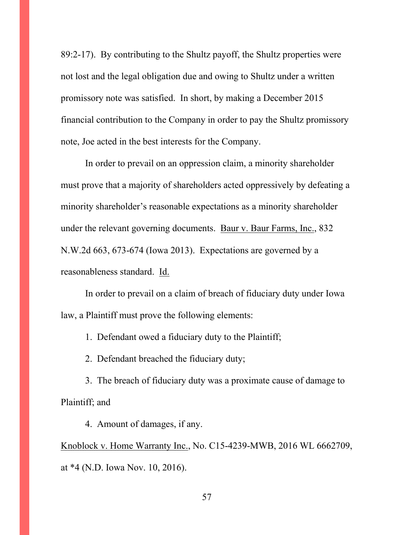89:2-17). By contributing to the Shultz payoff, the Shultz properties were not lost and the legal obligation due and owing to Shultz under a written promissory note was satisfied. In short, by making a December 2015 financial contribution to the Company in order to pay the Shultz promissory note, Joe acted in the best interests for the Company.

In order to prevail on an oppression claim, a minority shareholder must prove that a majority of shareholders acted oppressively by defeating a minority shareholder's reasonable expectations as a minority shareholder under the relevant governing documents. Baur v. Baur Farms, Inc., 832 N.W.2d 663, 673-674 (Iowa 2013). Expectations are governed by a reasonableness standard. Id.

In order to prevail on a claim of breach of fiduciary duty under Iowa law, a Plaintiff must prove the following elements:

1. Defendant owed a fiduciary duty to the Plaintiff;

2. Defendant breached the fiduciary duty;

3. The breach of fiduciary duty was a proximate cause of damage to Plaintiff; and

4. Amount of damages, if any.

Knoblock v. Home Warranty Inc., No. C15-4239-MWB, 2016 WL 6662709, at \*4 (N.D. Iowa Nov. 10, 2016).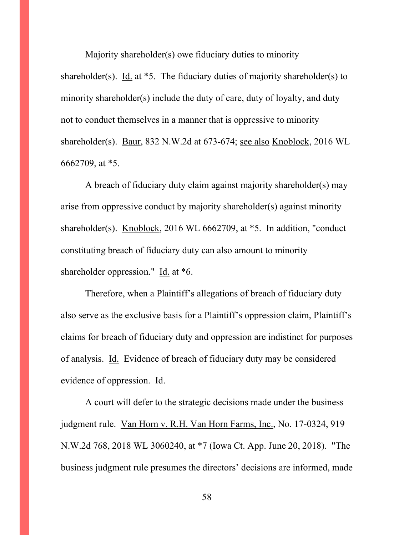Majority shareholder(s) owe fiduciary duties to minority shareholder(s). Id. at  $*5$ . The fiduciary duties of majority shareholder(s) to minority shareholder(s) include the duty of care, duty of loyalty, and duty not to conduct themselves in a manner that is oppressive to minority shareholder(s). Baur, 832 N.W.2d at 673-674; see also Knoblock, 2016 WL 6662709, at \*5.

A breach of fiduciary duty claim against majority shareholder(s) may arise from oppressive conduct by majority shareholder(s) against minority shareholder(s). Knoblock, 2016 WL 6662709, at \*5. In addition, "conduct constituting breach of fiduciary duty can also amount to minority shareholder oppression." Id. at \*6.

Therefore, when a Plaintiff's allegations of breach of fiduciary duty also serve as the exclusive basis for a Plaintiff's oppression claim, Plaintiff's claims for breach of fiduciary duty and oppression are indistinct for purposes of analysis. Id. Evidence of breach of fiduciary duty may be considered evidence of oppression. Id.

A court will defer to the strategic decisions made under the business judgment rule. Van Horn v. R.H. Van Horn Farms, Inc., No. 17-0324, 919 N.W.2d 768, 2018 WL 3060240, at \*7 (Iowa Ct. App. June 20, 2018). "The business judgment rule presumes the directors' decisions are informed, made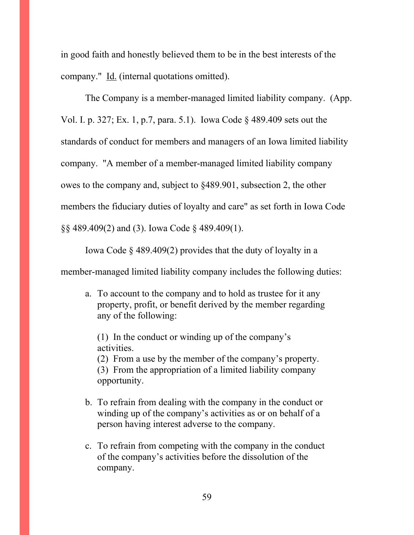in good faith and honestly believed them to be in the best interests of the company." Id. (internal quotations omitted).

The Company is a member-managed limited liability company. (App. Vol. I. p. 327; Ex. 1, p.7, para. 5.1). Iowa Code § 489.409 sets out the standards of conduct for members and managers of an Iowa limited liability company. "A member of a member-managed limited liability company owes to the company and, subject to §489.901, subsection 2, the other members the fiduciary duties of loyalty and care" as set forth in Iowa Code §§ 489.409(2) and (3). Iowa Code § 489.409(1).

Iowa Code § 489.409(2) provides that the duty of loyalty in a

member-managed limited liability company includes the following duties:

a. To account to the company and to hold as trustee for it any property, profit, or benefit derived by the member regarding any of the following:

(1) In the conduct or winding up of the company's activities. (2) From a use by the member of the company's property. (3) From the appropriation of a limited liability company opportunity.

- b. To refrain from dealing with the company in the conduct or winding up of the company's activities as or on behalf of a person having interest adverse to the company.
- c. To refrain from competing with the company in the conduct of the company's activities before the dissolution of the company.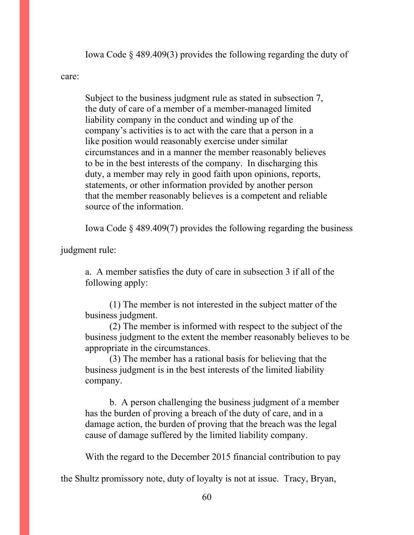Iowa Code § 489.409(3) provides the following regarding the duty of

#### care:

Subject to the business judgment rule as stated in subsection 7, the duty of care of a member of a member-managed limited liability company in the conduct and winding up of the company's activities is to act with the care that a person in a like position would reasonably exercise under similar circumstances and in a manner the member reasonably believes to be in the best interests of the company. In discharging this duty, a member may rely in good faith upon opinions, reports, statements, or other information provided by another person that the member reasonably believes is a competent and reliable source of the information.

Iowa Code § 489.409(7) provides the following regarding the business

judgment rule:

a. A member satisfies the duty of care in subsection 3 if all of the following apply:

(1) The member is not interested in the subject matter of the business judgment.

(2) The member is informed with respect to the subject of the business judgment to the extent the member reasonably believes to be appropriate in the circumstances.

(3) The member has a rational basis for believing that the business judgment is in the best interests of the limited liability company.

b. A person challenging the business judgment of a member has the burden of proving a breach of the duty of care, and in a damage action, the burden of proving that the breach was the legal cause of damage suffered by the limited liability company.

With the regard to the December 2015 financial contribution to pay

the Shultz promissory note, duty of loyalty is not at issue. Tracy, Bryan,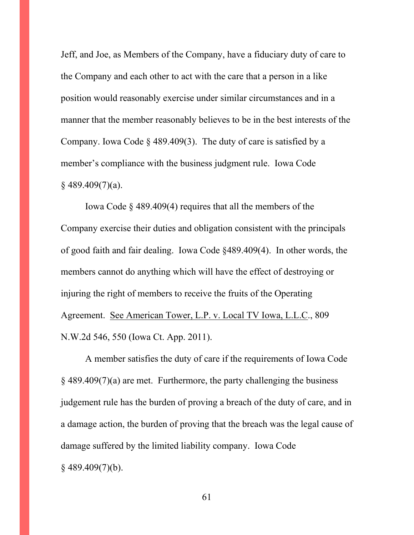Jeff, and Joe, as Members of the Company, have a fiduciary duty of care to the Company and each other to act with the care that a person in a like position would reasonably exercise under similar circumstances and in a manner that the member reasonably believes to be in the best interests of the Company. Iowa Code § 489.409(3). The duty of care is satisfied by a member's compliance with the business judgment rule. Iowa Code  $§$  489.409(7)(a).

Iowa Code § 489.409(4) requires that all the members of the Company exercise their duties and obligation consistent with the principals of good faith and fair dealing. Iowa Code §489.409(4). In other words, the members cannot do anything which will have the effect of destroying or injuring the right of members to receive the fruits of the Operating Agreement. See American Tower, L.P. v. Local TV Iowa, L.L.C., 809 N.W.2d 546, 550 (Iowa Ct. App. 2011).

A member satisfies the duty of care if the requirements of Iowa Code § 489.409(7)(a) are met. Furthermore, the party challenging the business judgement rule has the burden of proving a breach of the duty of care, and in a damage action, the burden of proving that the breach was the legal cause of damage suffered by the limited liability company. Iowa Code § 489.409(7)(b).

61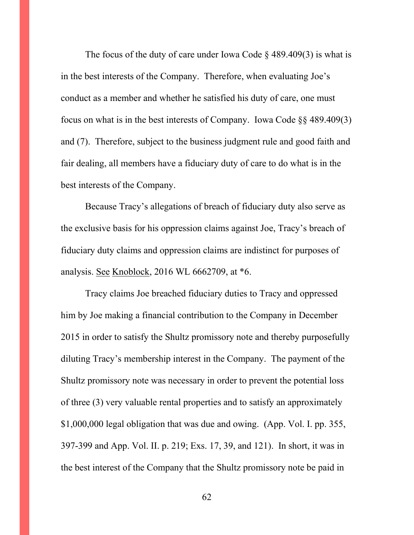The focus of the duty of care under Iowa Code  $\S$  489.409(3) is what is in the best interests of the Company. Therefore, when evaluating Joe's conduct as a member and whether he satisfied his duty of care, one must focus on what is in the best interests of Company. Iowa Code §§ 489.409(3) and (7). Therefore, subject to the business judgment rule and good faith and fair dealing, all members have a fiduciary duty of care to do what is in the best interests of the Company.

Because Tracy's allegations of breach of fiduciary duty also serve as the exclusive basis for his oppression claims against Joe, Tracy's breach of fiduciary duty claims and oppression claims are indistinct for purposes of analysis. See Knoblock, 2016 WL 6662709, at \*6.

Tracy claims Joe breached fiduciary duties to Tracy and oppressed him by Joe making a financial contribution to the Company in December 2015 in order to satisfy the Shultz promissory note and thereby purposefully diluting Tracy's membership interest in the Company. The payment of the Shultz promissory note was necessary in order to prevent the potential loss of three (3) very valuable rental properties and to satisfy an approximately \$1,000,000 legal obligation that was due and owing. (App. Vol. I. pp. 355, 397-399 and App. Vol. II. p. 219; Exs. 17, 39, and 121). In short, it was in the best interest of the Company that the Shultz promissory note be paid in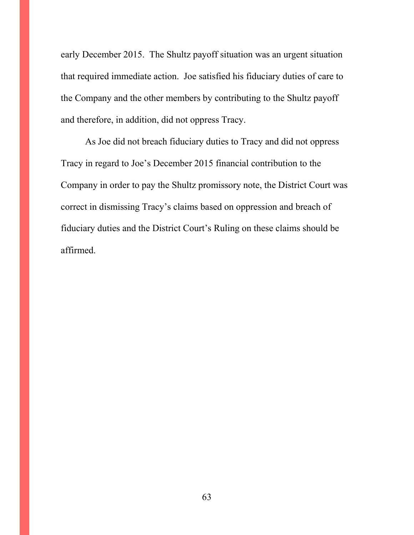early December 2015. The Shultz payoff situation was an urgent situation that required immediate action. Joe satisfied his fiduciary duties of care to the Company and the other members by contributing to the Shultz payoff and therefore, in addition, did not oppress Tracy.

As Joe did not breach fiduciary duties to Tracy and did not oppress Tracy in regard to Joe's December 2015 financial contribution to the Company in order to pay the Shultz promissory note, the District Court was correct in dismissing Tracy's claims based on oppression and breach of fiduciary duties and the District Court's Ruling on these claims should be affirmed.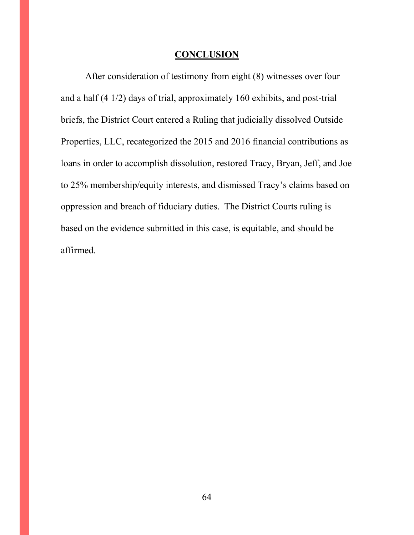### **CONCLUSION**

After consideration of testimony from eight (8) witnesses over four and a half (4 1/2) days of trial, approximately 160 exhibits, and post-trial briefs, the District Court entered a Ruling that judicially dissolved Outside Properties, LLC, recategorized the 2015 and 2016 financial contributions as loans in order to accomplish dissolution, restored Tracy, Bryan, Jeff, and Joe to 25% membership/equity interests, and dismissed Tracy's claims based on oppression and breach of fiduciary duties. The District Courts ruling is based on the evidence submitted in this case, is equitable, and should be affirmed.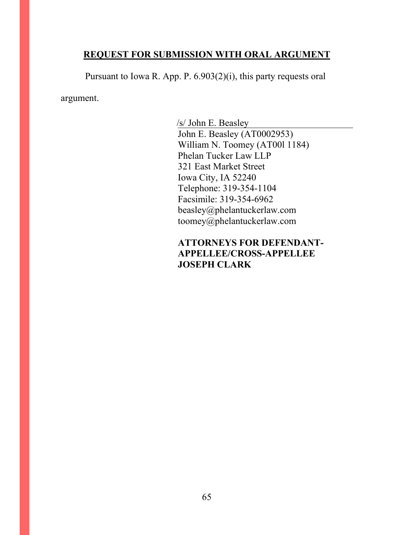### **REQUEST FOR SUBMISSION WITH ORAL ARGUMENT**

Pursuant to Iowa R. App. P. 6.903(2)(i), this party requests oral

argument.

/s/ John E. Beasley John E. Beasley (AT0002953) William N. Toomey (AT00l 1184) Phelan Tucker Law LLP 321 East Market Street Iowa City, IA 52240 Telephone: 319-354-1104 Facsimile: 319-354-6962 beasley@phelantuckerlaw.com toomey@phelantuckerlaw.com

# **ATTORNEYS FOR DEFENDANT-APPELLEE/CROSS-APPELLEE JOSEPH CLARK**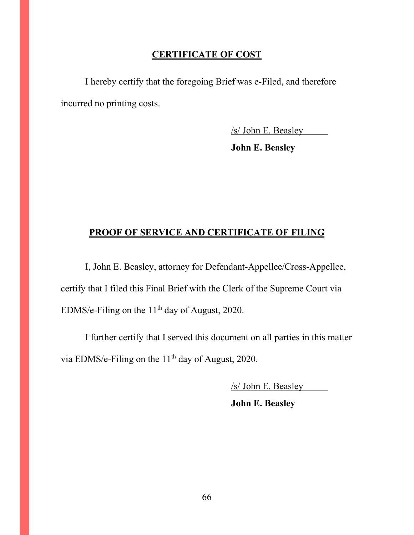### **CERTIFICATE OF COST**

I hereby certify that the foregoing Brief was e-Filed, and therefore incurred no printing costs.

/s/ John E. Beasley

**John E. Beasley**

### **PROOF OF SERVICE AND CERTIFICATE OF FILING**

I, John E. Beasley, attorney for Defendant-Appellee/Cross-Appellee, certify that I filed this Final Brief with the Clerk of the Supreme Court via EDMS/e-Filing on the 11<sup>th</sup> day of August, 2020.

I further certify that I served this document on all parties in this matter via EDMS/e-Filing on the 11<sup>th</sup> day of August, 2020.

/s/ John E. Beasley

**John E. Beasley**